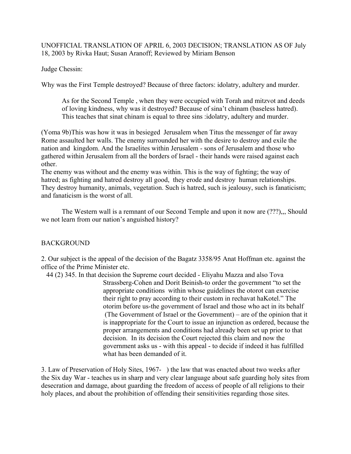## UNOFFICIAL TRANSLATION OF APRIL 6, 2003 DECISION; TRANSLATION AS OF July 18, 2003 by Rivka Haut; Susan Aranoff; Reviewed by Miriam Benson

Judge Chessin:

Why was the First Temple destroyed? Because of three factors: idolatry, adultery and murder.

As for the Second Temple , when they were occupied with Torah and mitzvot and deeds of loving kindness, why was it destroyed? Because of sina't chinam (baseless hatred). This teaches that sinat chinam is equal to three sins :idolatry, adultery and murder.

(Yoma 9b)This was how it was in besieged Jerusalem when Titus the messenger of far away Rome assaulted her walls. The enemy surrounded her with the desire to destroy and exile the nation and kingdom. And the Israelites within Jerusalem - sons of Jerusalem and those who gathered within Jerusalem from all the borders of Israel - their hands were raised against each other.

The enemy was without and the enemy was within. This is the way of fighting; the way of hatred; as fighting and hatred destroy all good, they erode and destroy human relationships. They destroy humanity, animals, vegetation. Such is hatred, such is jealousy, such is fanaticism; and fanaticism is the worst of all.

The Western wall is a remnant of our Second Temple and upon it now are (???),., Should we not learn from our nation's anguished history?

# BACKGROUND

2. Our subject is the appeal of the decision of the Bagatz 3358/95 Anat Hoffman etc. against the office of the Prime Minister etc.

 44 (2) 345. In that decision the Supreme court decided - Eliyahu Mazza and also Tova Strassberg-Cohen and Dorit Beinish-to order the government "to set the appropriate conditions within whose guidelines the otorot can exercise their right to pray according to their custom in rechavat haKotel." The otorim before us-the government of Israel and those who act in its behalf (The Government of Israel or the Government) – are of the opinion that it is inappropriate for the Court to issue an injunction as ordered, because the proper arrangements and conditions had already been set up prior to that decision. In its decision the Court rejected this claim and now the government asks us - with this appeal - to decide if indeed it has fulfilled what has been demanded of it.

3. Law of Preservation of Holy Sites, 1967- ) the law that was enacted about two weeks after the Six day War - teaches us in sharp and very clear language about safe guarding holy sites from desecration and damage, about guarding the freedom of access of people of all religions to their holy places, and about the prohibition of offending their sensitivities regarding those sites.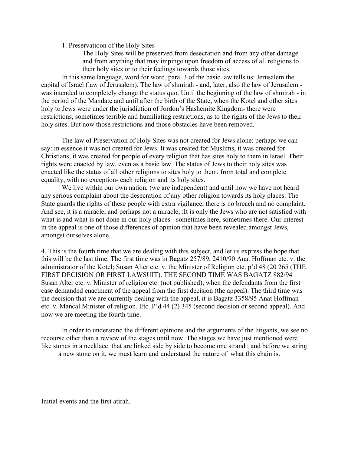1. Preservatioon of the Holy Sites

The Holy Sites will be preserved from desecration and from any other damage and from anything that may impinge upon freedom of access of all religions to their holy sites or to their feelings towards those sites.

In this same language, word for word, para. 3 of the basic law tells us: Jerusalem the capital of Israel (law of Jerusalem). The law of shmirah - and, later, also the law of Jerusalem was intended to completely change the status quo. Until the beginning of the law of shmirah - in the period of the Mandate and until after the birth of the State, when the Kotel and other sites holy to Jews were under the jurisdiction of Jordon's Hashemite Kingdom- there were restrictions, sometimes terrible and humiliating restrictions, as to the rights of the Jews to their holy sites. But now those restrictions and those obstacles have been removed.

The law of Preservation of Holy Sites was not created for Jews alone: perhaps we can say: in essence it was not created for Jews. It was created for Muslims, it was created for Christians, it was created for people of every religion that has sites holy to them in Israel. Their rights were enacted by law, even as a basic law. The status of Jews to their holy sites was enacted like the status of all other religions to sites holy to them, from total and complete equality, with no exception- each religion and its holy sites.

We live within our own nation, (we are independent) and until now we have not heard any serious complaint about the desecration of any other religion towards its holy places. The State guards the rights of these people with extra vigilance, there is no breach and no complaint. And see, it is a miracle, and perhaps not a miracle, :It is only the Jews who are not satisfied with what is and what is not done in our holy places - sometimes here, sometimes there. Our interest in the appeal is one of those differences of opinion that have been revealed amongst Jews, amongst ourselves alone.

4. This is the fourth time that we are dealing with this subject, and let us express the hope that this will be the last time. The first time was in Bagatz 257/89, 2410/90 Anat Hoffman etc. v. the administrator of the Kotel; Susan Alter etc. v. the Minister of Religion etc. p'd 48 (20 265 (THE FIRST DECISION OR FIRST LAWSUIT). THE SECOND TIME WAS BAGATZ 882/94 Susan Alter etc. v. Minister of religion etc. (not published), when the defendants from the first case demanded enactment of the appeal from the first decision (the appeal). The third time was the decision that we are currently dealing with the appeal, it is Bagatz 3358/95 Anat Hoffman etc. v. Mancal Minister of religion. Etc. P'd 44 (2) 345 (second decision or second appeal). And now we are meeting the fourth time.

In order to understand the different opinions and the arguments of the litigants, we see no recourse other than a review of the stages until now. The stages we have just mentioned were like stones in a necklace that are linked side by side to become one strand ; and before we string a new stone on it, we must learn and understand the nature of what this chain is.

Initial events and the first atirah.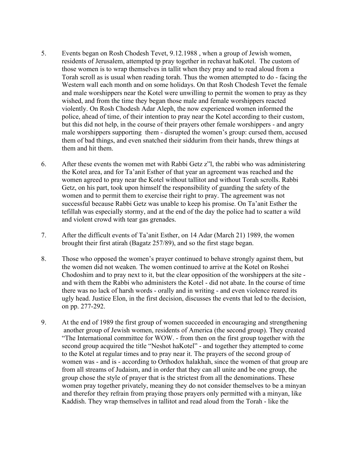- 5. Events began on Rosh Chodesh Tevet, 9.12.1988 , when a group of Jewish women, residents of Jerusalem, attempted tp pray together in rechavat haKotel. The custom of those women is to wrap themselves in tallit when they pray and to read aloud from a Torah scroll as is usual when reading torah. Thus the women attempted to do - facing the Western wall each month and on some holidays. On that Rosh Chodesh Tevet the female and male worshippers near the Kotel were unwilling to permit the women to pray as they wished, and from the time they began those male and female worshippers reacted violently. On Rosh Chodesh Adar Aleph, the now experienced women informed the police, ahead of time, of their intention to pray near the Kotel according to their custom, but this did not help, in the course of their prayers other female worshippers - and angry male worshippers supporting them - disrupted the women's group: cursed them, accused them of bad things, and even snatched their siddurim from their hands, threw things at them and hit them.
- 6. After these events the women met with Rabbi Getz z"l, the rabbi who was administering the Kotel area, and for Ta'anit Esther of that year an agreement was reached and the women agreed to pray near the Kotel without tallitot and without Torah scrolls. Rabbi Getz, on his part, took upon himself the responsibility of guarding the safety of the women and to permit them to exercise their right to pray. The agreement was not successful because Rabbi Getz was unable to keep his promise. On Ta'anit Esther the tefillah was especially stormy, and at the end of the day the police had to scatter a wild and violent crowd with tear gas grenades.
- 7. After the difficult events of Ta'anit Esther, on 14 Adar (March 21) 1989, the women brought their first atirah (Bagatz 257/89), and so the first stage began.
- 8. Those who opposed the women's prayer continued to behave strongly against them, but the women did not weaken. The women continued to arrive at the Kotel on Roshei Chodoshim and to pray next to it, but the clear opposition of the worshippers at the site and with them the Rabbi who administers the Kotel - did not abate. In the course of time there was no lack of harsh words - orally and in writing - and even violence reared its ugly head. Justice Elon, in the first decision, discusses the events that led to the decision, on pp. 277-292.
- 9. At the end of 1989 the first group of women succeeded in encouraging and strengthening another group of Jewish women, residents of America (the second group). They created "The International committee for WOW. - from then on the first group together with the second group acquired the title "Neshot haKotel" - and together they attempted to come to the Kotel at regular times and to pray near it. The prayers of the second group of women was - and is - according to Orthodox halakhah, since the women of that group are from all streams of Judaism, and in order that they can all unite and be one group, the group chose the style of prayer that is the strictest from all the denominations. These women pray together privately, meaning they do not consider themselves to be a minyan and therefor they refrain from praying those prayers only permitted with a minyan, like Kaddish. They wrap themselves in tallitot and read aloud from the Torah - like the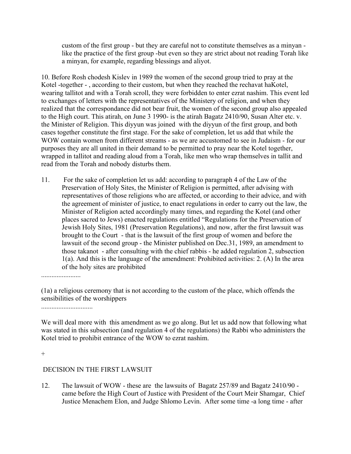custom of the first group - but they are careful not to constitute themselves as a minyan like the practice of the first group -but even so they are strict about not reading Torah like a minyan, for example, regarding blessings and aliyot.

10. Before Rosh chodesh Kislev in 1989 the women of the second group tried to pray at the Kotel -together - , according to their custom, but when they reached the rechavat haKotel, wearing tallitot and with a Torah scroll, they were forbidden to enter ezrat nashim. This event led to exchanges of letters with the representatives of the Ministery of religion, and when they realized that the correspondance did not bear fruit, the women of the second group also appealed to the High court. This atirah, on June 3 1990- is the atirah Bagatz 2410/90, Susan Alter etc. v. the Minister of Religion. This diyyun was joined with the diyyun of the first group, and both cases together constitute the first stage. For the sake of completion, let us add that while the WOW contain women from different streams - as we are accustomed to see in Judaism - for our purposes they are all united in their demand to be permitted to pray near the Kotel together, wrapped in tallitot and reading aloud from a Torah, like men who wrap themselves in tallit and read from the Torah and nobody disturbs them.

11. For the sake of completion let us add: according to paragraph 4 of the Law of the Preservation of Holy Sites, the Minister of Religion is permitted, after advising with representatives of those religions who are affected, or according to their advice, and with the agreement of minister of justice, to enact regulations in order to carry out the law, the Minister of Religion acted accordingly many times, and regarding the Kotel (and other places sacred to Jews) enacted regulations entitled "Regulations for the Preservation of Jewish Holy Sites, 1981 (Preservation Regulations), and now, after the first lawsuit was brought to the Court - that is the lawsuit of the first group of women and before the lawsuit of the second group - the Minister published on Dec.31, 1989, an amendment to those takanot - after consulting with the chief rabbis - he added regulation 2, subsection 1(a). And this is the language of the amendment: Prohibited activities: 2. (A) In the area of the holy sites are prohibited

.......................

(1a) a religious ceremony that is not according to the custom of the place, which offends the sensibilities of the worshippers

..............................

We will deal more with this amendment as we go along. But let us add now that following what was stated in this subsection (and regulation 4 of the regulations) the Rabbi who administers the Kotel tried to prohibit entrance of the WOW to ezrat nashim.

 $+$ 

## DECISION IN THE FIRST LAWSUIT

12. The lawsuit of WOW - these are the lawsuits of Bagatz 257/89 and Bagatz 2410/90 came before the High Court of Justice with President of the Court Meir Shamgar, Chief Justice Menachem Elon, and Judge Shlomo Levin. After some time -a long time - after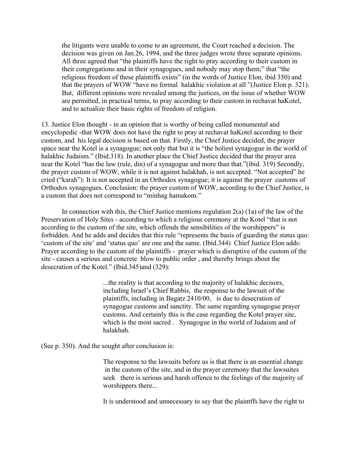the litigants were unable to come to an agreement, the Court reached a decision. The decision was given on Jan.26, 1994, and the three judges wrote three separate opinions. All three agreed that "the plaintiffs have the right to pray according to their custom in their congregations and in their synagogues, and nobody may stop them;" that "the religious freedom of these plaintiffs exists" (in the words of Justice Elon, ibid 350) and that the prayers of WOW "have no formal halakhic violation at all "(Justice Elon p. 321). But, different opinions were revealed among the justices, on the issue of whether WOW are permitted, in practical terms, to pray according to their custom in rechavat haKotel, and to actualize their basic rights of freedom of religion.

13. Justice Elon thought - in an opinion that is worthy of being called monumental and encyclopedic -that WOW does not have the right to pray at rechavat haKotel according to their custom, and his legal decision is based on that. Firstly, the Chief Justice decided, the prayer space near the Kotel is a synagogue; not only that but it is "the holiest synagogue in the world of halakhic Judaism." (Ibid.318). In another place the Chief Justice decided that the prayer area near the Kotel "has the law (rule, din) of a synagogue and more than that."(ibid. 319) Secondly, the prayer custom of WOW, while it is not against halakhah, is not accepted. "Not accepted" he cried ("karah"): It is not accepted in an Orthodox synagogue; it is against the prayer customs of Orthodox synagogues. Conclusion: the prayer custom of WOW, according to the Chief Justice, is a custom that does not correspond to "minhag hamakom."

In connection with this, the Chief Justice mentions regulation  $2(a)$  (1a) of the law of the Preservation of Holy Sites - according to which a religious ceremony at the Kotel "that is not according to the custom of the site, which offends the sensibilities of the worshippers" is forbidden. And he adds and decides that this rule "represents the basis of guarding the status quo: 'custom of the site' and 'status quo' are one and the same. (Ibid.344) Chief Justice Elon adds: Prayer according to the custom of the plaintiffs - prayer which is disruptive of the custom of the site - causes a serious and concrete blow to public order , and thereby brings about the desecration of the Kotel." (Ibid.345)and (329):

> ...the reality is that according to the majority of halakhic decisors, including Israel's Chief Rabbis, the response to the lawsuit of the plaintiffs, including in Bagatz 2410/00, is due to desecration of synagogue customs and sanctity. The same regarding synagogue prayer customs. And certainly this is the case regarding the Kotel prayer site, which is the most sacred . Synagogue in the world of Judaism and of halakhah.

(See p. 350). And the sought after conclusion is:

The response to the lawsuits before us is that there is an essential change in the custom of the site, and in the prayer ceremony that the lawsuites seek there is serious and harsh offence to the feelings of the majority of worshippers there...

It is understood and unnecessary to say that the plaintffs have the right to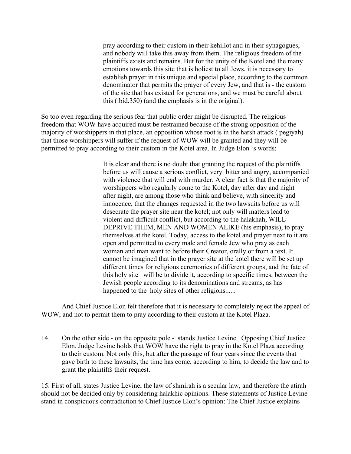pray according to their custom in their kehillot and in their synagogues, and nobody will take this away from them. The religious freedom of the plaintiffs exists and remains. But for the unity of the Kotel and the many emotions towards this site that is holiest to all Jews, it is necessary to establish prayer in this unique and special place, according to the common denominator that permits the prayer of every Jew, and that is - the custom of the site that has existed for generations, and we must be careful about this (ibid.350) (and the emphasis is in the original).

So too even regarding the serious fear that public order might be disrupted. The religious freedom that WOW have acquired must be restrained because of the strong opposition of the majority of worshippers in that place, an opposition whose root is in the harsh attack ( pegiyah) that those worshippers will suffer if the request of WOW will be granted and they will be permitted to pray according to their custom in the Kotel area. In Judge Elon 's words:

> It is clear and there is no doubt that granting the request of the plaintiffs before us will cause a serious conflict, very bitter and angry, accompanied with violence that will end with murder. A clear fact is that the majority of worshippers who regularly come to the Kotel, day after day and night after night, are among those who think and believe, with sincerity and innocence, that the changes requested in the two lawsuits before us will desecrate the prayer site near the kotel; not only will matters lead to violent and difficult conflict, but according to the halakhah, WILL DEPRIVE THEM, MEN AND WOMEN ALIKE (his emphasis), to pray themselves at the kotel. Today, access to the kotel and prayer next to it are open and permitted to every male and female Jew who pray as each woman and man want to before their Creator, orally or from a text. It cannot be imagined that in the prayer site at the kotel there will be set up different times for religious ceremonies of different groups, and the fate of this holy site will be to divide it, according to specific times, between the Jewish people according to its denominations and streams, as has happened to the holy sites of other religions......

And Chief Justice Elon felt therefore that it is necessary to completely reject the appeal of WOW, and not to permit them to pray according to their custom at the Kotel Plaza.

14. On the other side - on the opposite pole - stands Justice Levine. Opposing Chief Justice Elon, Judge Levine holds that WOW have the right to pray in the Kotel Plaza according to their custom. Not only this, but after the passage of four years since the events that gave birth to these lawsuits, the time has come, according to him, to decide the law and to grant the plaintiffs their request.

15. First of all, states Justice Levine, the law of shmirah is a secular law, and therefore the atirah should not be decided only by considering halakhic opinions. These statements of Justice Levine stand in conspicuous contradiction to Chief Justice Elon's opinion: The Chief Justice explains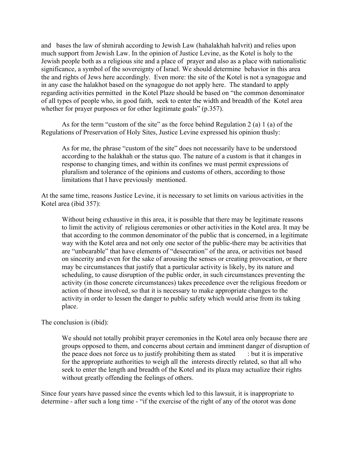and bases the law of shmirah according to Jewish Law (hahalakhah haIvrit) and relies upon much support from Jewish Law. In the opinion of Justice Levine, as the Kotel is holy to the Jewish people both as a religious site and a place of prayer and also as a place with nationalistic significance, a symbol of the sovereignty of Israel. We should determine behavior in this area the and rights of Jews here accordingly. Even more: the site of the Kotel is not a synagogue and in any case the halakhot based on the synagogue do not apply here. The standard to apply regarding activities permitted in the Kotel Plaze should be based on "the common denominator of all types of people who, in good faith, seek to enter the width and breadth of the Kotel area whether for prayer purposes or for other legitimate goals" (p.357).

As for the term "custom of the site" as the force behind Regulation 2 (a) 1 (a) of the Regulations of Preservation of Holy Sites, Justice Levine expressed his opinion thusly:

As for me, the phrase "custom of the site" does not necessarily have to be understood according to the halakhah or the status quo. The nature of a custom is that it changes in response to changing times, and within its confines we must permit expressions of pluralism and tolerance of the opinions and customs of others, according to those limitations that I have previously mentioned.

At the same time, reasons Justice Levine, it is necessary to set limits on various activities in the Kotel area (ibid 357):

Without being exhaustive in this area, it is possible that there may be legitimate reasons to limit the activity of religious ceremonies or other activities in the Kotel area. It may be that according to the common denominator of the public that is concerned, in a legitimate way with the Kotel area and not only one sector of the public-there may be activities that are "unbearable" that have elements of "desecration" of the area, or activities not based on sincerity and even for the sake of arousing the senses or creating provocation, or there may be circumstances that justify that a particular activity is likely, by its nature and scheduling, to cause disruption of the public order, in such circumstances preventing the activity (in those concrete circumstances) takes precedence over the religious freedom or action of those involved, so that it is necessary to make appropriate changes to the activity in order to lessen the danger to public safety which would arise from its taking place.

The conclusion is (ibid):

We should not totally prohibit prayer ceremonies in the Kotel area only because there are groups opposed to them, and concerns about certain and imminent danger of disruption of the peace does not force us to justify prohibiting them as stated  $\cdot$  : but it is imperative for the appropriate authorities to weigh all the interests directly related, so that all who seek to enter the length and breadth of the Kotel and its plaza may actualize their rights without greatly offending the feelings of others.

Since four years have passed since the events which led to this lawsuit, it is inappropriate to determine - after such a long time - "if the exercise of the right of any of the otorot was done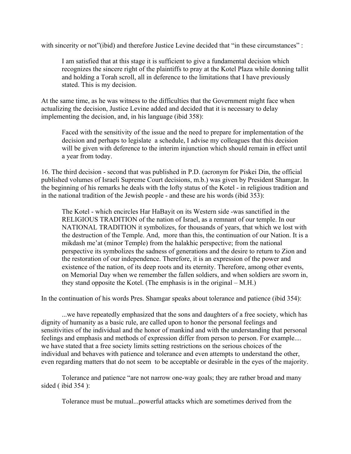with sincerity or not"(ibid) and therefore Justice Levine decided that "in these circumstances" :

I am satisfied that at this stage it is sufficient to give a fundamental decision which recognizes the sincere right of the plaintiffs to pray at the Kotel Plaza while donning tallit and holding a Torah scroll, all in deference to the limitations that I have previously stated. This is my decision.

At the same time, as he was witness to the difficulties that the Government might face when actualizing the decision, Justice Levine added and decided that it is necessary to delay implementing the decision, and, in his language (ibid 358):

Faced with the sensitivity of the issue and the need to prepare for implementation of the decision and perhaps to legislate a schedule, I advise my colleagues that this decision will be given with deference to the interim injunction which should remain in effect until a year from today.

16. The third decision - second that was published in P.D. (acronym for Piskei Din, the official published volumes of Israeli Supreme Court decisions, m.b.) was given by President Shamgar. In the beginning of his remarks he deals with the lofty status of the Kotel - in religious tradition and in the national tradition of the Jewish people - and these are his words (ibid 353):

The Kotel - which encircles Har HaBayit on its Western side -was sanctified in the RELIGIOUS TRADITION of the nation of Israel, as a remnant of our temple. In our NATIONAL TRADITION it symbolizes, for thousands of years, that which we lost with the destruction of the Temple. And, more than this, the continuation of our Nation. It is a mikdash me'at (minor Temple) from the halakhic perspective; from the national perspective its symbolizes the sadness of generations and the desire to return to Zion and the restoration of our independence. Therefore, it is an expression of the power and existence of the nation, of its deep roots and its eternity. Therefore, among other events, on Memorial Day when we remember the fallen soldiers, and when soldiers are sworn in, they stand opposite the Kotel. (The emphasis is in the original – M.H.)

In the continuation of his words Pres. Shamgar speaks about tolerance and patience (ibid 354):

...we have repeatedly emphasized that the sons and daughters of a free society, which has dignity of humanity as a basic rule, are called upon to honor the personal feelings and sensitivities of the individual and the honor of mankind and with the understanding that personal feelings and emphasis and methods of expression differ from person to person. For example.... we have stated that a free society limits setting restrictions on the serious choices of the individual and behaves with patience and tolerance and even attempts to understand the other, even regarding matters that do not seem to be acceptable or desirable in the eyes of the majority.

Tolerance and patience "are not narrow one-way goals; they are rather broad and many sided ( ibid 354 ):

Tolerance must be mutual...powerful attacks which are sometimes derived from the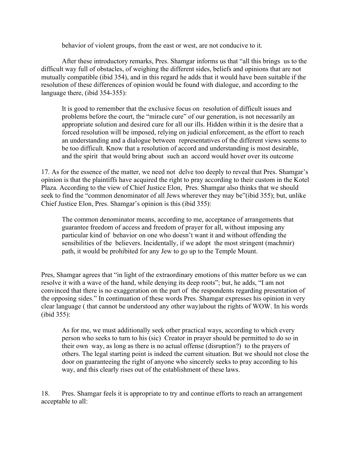behavior of violent groups, from the east or west, are not conducive to it.

After these introductory remarks, Pres. Shamgar informs us that "all this brings us to the difficult way full of obstacles, of weighing the different sides, beliefs and opinions that are not mutually compatible (ibid 354), and in this regard he adds that it would have been suitable if the resolution of these differences of opinion would be found with dialogue, and according to the language there, (ibid 354-355):

It is good to remember that the exclusive focus on resolution of difficult issues and problems before the court, the "miracle cure" of our generation, is not necessarily an appropriate solution and desired cure for all our ills. Hidden within it is the desire that a forced resolution will be imposed, relying on judicial enforcement, as the effort to reach an understanding and a dialogue between representatives of the different views seems to be too difficult. Know that a resolution of accord and understanding is most desirable, and the spirit that would bring about such an accord would hover over its outcome

17. As for the essence of the matter, we need not delve too deeply to reveal that Pres. Shamgar's opinion is that the plaintiffs have acquired the right to pray according to their custom in the Kotel Plaza. According to the view of Chief Justice Elon, Pres. Shamgar also thinks that we should seek to find the "common denominator of all Jews wherever they may be"(ibid 355); but, unlike Chief Justice Elon, Pres. Shamgar's opinion is this (ibid 355):

The common denominator means, according to me, acceptance of arrangements that guarantee freedom of access and freedom of prayer for all, without imposing any particular kind of behavior on one who doesn't want it and without offending the sensibilities of the believers. Incidentally, if we adopt the most stringent (machmir) path, it would be prohibited for any Jew to go up to the Temple Mount.

Pres, Shamgar agrees that "in light of the extraordinary emotions of this matter before us we can resolve it with a wave of the hand, while denying its deep roots"; but, he adds, "I am not convinced that there is no exaggeration on the part of the respondents regarding presentation of the opposing sides." In continuation of these words Pres. Shamgar expresses his opinion in very clear language ( that cannot be understood any other way)about the rights of WOW. In his words (ibid 355):

As for me, we must additionally seek other practical ways, according to which every person who seeks to turn to his (sic) Creator in prayer should be permitted to do so in their own way, as long as there is no actual offense (disruption?) to the prayers of others. The legal starting point is indeed the current situation. But we should not close the door on guaranteeing the right of anyone who sincerely seeks to pray according to his way, and this clearly rises out of the establishment of these laws.

18. Pres. Shamgar feels it is appropriate to try and continue efforts to reach an arrangement acceptable to all: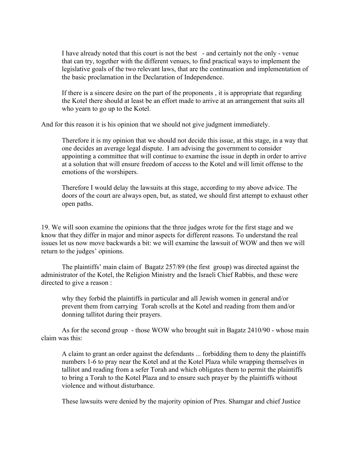I have already noted that this court is not the best - and certainly not the only - venue that can try, together with the different venues, to find practical ways to implement the legislative goals of the two relevant laws, that are the continuation and implementation of the basic proclamation in the Declaration of Independence.

If there is a sincere desire on the part of the proponents , it is appropriate that regarding the Kotel there should at least be an effort made to arrive at an arrangement that suits all who yearn to go up to the Kotel.

And for this reason it is his opinion that we should not give judgment immediately.

Therefore it is my opinion that we should not decide this issue, at this stage, in a way that one decides an average legal dispute. I am advising the government to consider appointing a committee that will continue to examine the issue in depth in order to arrive at a solution that will ensure freedom of access to the Kotel and will limit offense to the emotions of the worshipers.

Therefore I would delay the lawsuits at this stage, according to my above advice. The doors of the court are always open, but, as stated, we should first attempt to exhaust other open paths.

19. We will soon examine the opinions that the three judges wrote for the first stage and we know that they differ in major and minor aspects for different reasons. To understand the real issues let us now move backwards a bit: we will examine the lawsuit of WOW and then we will return to the judges' opinions.

The plaintiffs' main claim of Bagatz 257/89 (the first group) was directed against the administrator of the Kotel, the Religion Ministry and the Israeli Chief Rabbis, and these were directed to give a reason :

why they forbid the plaintiffs in particular and all Jewish women in general and/or prevent them from carrying Torah scrolls at the Kotel and reading from them and/or donning tallitot during their prayers.

As for the second group - those WOW who brought suit in Bagatz 2410/90 - whose main claim was this:

A claim to grant an order against the defendants ... forbidding them to deny the plaintiffs numbers 1-6 to pray near the Kotel and at the Kotel Plaza while wrapping themselves in tallitot and reading from a sefer Torah and which obligates them to permit the plaintiffs to bring a Torah to the Kotel Plaza and to ensure such prayer by the plaintiffs without violence and without disturbance.

These lawsuits were denied by the majority opinion of Pres. Shamgar and chief Justice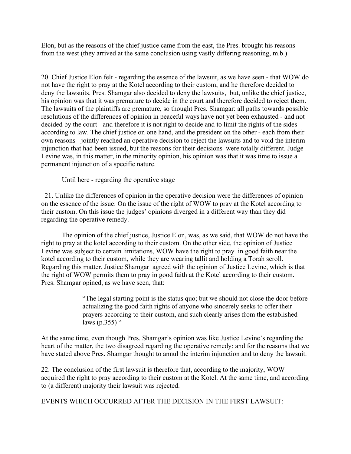Elon, but as the reasons of the chief justice came from the east, the Pres. brought his reasons from the west (they arrived at the same conclusion using vastly differing reasoning, m.b.)

20. Chief Justice Elon felt - regarding the essence of the lawsuit, as we have seen - that WOW do not have the right to pray at the Kotel according to their custom, and he therefore decided to deny the lawsuits. Pres. Shamgar also decided to deny the lawsuits, but, unlike the chief justice, his opinion was that it was premature to decide in the court and therefore decided to reject them. The lawsuits of the plaintiffs are premature, so thought Pres. Shamgar: all paths towards possible resolutions of the differences of opinion in peaceful ways have not yet been exhausted - and not decided by the court - and therefore it is not right to decide and to limit the rights of the sides according to law. The chief justice on one hand, and the president on the other - each from their own reasons - jointly reached an operative decision to reject the lawsuits and to void the interim injunction that had been issued, but the reasons for their decisions were totally different. Judge Levine was, in this matter, in the minority opinion, his opinion was that it was time to issue a permanent injunction of a specific nature.

Until here - regarding the operative stage

 21. Unlike the differences of opinion in the operative decision were the differences of opinion on the essence of the issue: On the issue of the right of WOW to pray at the Kotel according to their custom. On this issue the judges' opinions diverged in a different way than they did regarding the operative remedy.

The opinion of the chief justice, Justice Elon, was, as we said, that WOW do not have the right to pray at the kotel according to their custom. On the other side, the opinion of Justice Levine was subject to certain limitations, WOW have the right to pray in good faith near the kotel according to their custom, while they are wearing tallit and holding a Torah scroll. Regarding this matter, Justice Shamgar agreed with the opinion of Justice Levine, which is that the right of WOW permits them to pray in good faith at the Kotel according to their custom. Pres. Shamgar opined, as we have seen, that:

> "The legal starting point is the status quo; but we should not close the door before actualizing the good faith rights of anyone who sincerely seeks to offer their prayers according to their custom, and such clearly arises from the established laws (p.355)  $\degree$

At the same time, even though Pres. Shamgar's opinion was like Justice Levine's regarding the heart of the matter, the two disagreed regarding the operative remedy: and for the reasons that we have stated above Pres. Shamgar thought to annul the interim injunction and to deny the lawsuit.

22. The conclusion of the first lawsuit is therefore that, according to the majority, WOW acquired the right to pray according to their custom at the Kotel. At the same time, and according to (a different) majority their lawsuit was rejected.

EVENTS WHICH OCCURRED AFTER THE DECISION IN THE FIRST LAWSUIT: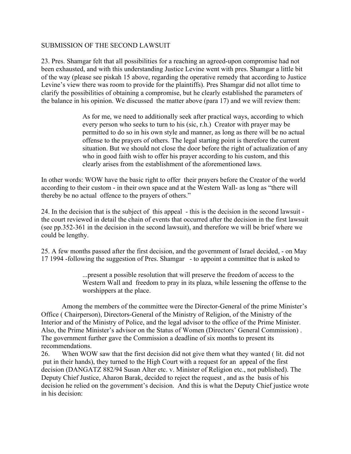## SUBMISSION OF THE SECOND LAWSUIT

23. Pres. Shamgar felt that all possibilities for a reaching an agreed-upon compromise had not been exhausted, and with this understanding Justice Levine went with pres. Shamgar a little bit of the way (please see piskah 15 above, regarding the operative remedy that according to Justice Levine's view there was room to provide for the plaintiffs). Pres Shamgar did not allot time to clarify the possibilities of obtaining a compromise, but he clearly established the parameters of the balance in his opinion. We discussed the matter above (para 17) and we will review them:

> As for me, we need to additionally seek after practical ways, according to which every person who seeks to turn to his (sic, r.h.) Creator with prayer may be permitted to do so in his own style and manner, as long as there will be no actual offense to the prayers of others. The legal starting point is therefore the current situation. But we should not close the door before the right of actualization of any who in good faith wish to offer his prayer according to his custom, and this clearly arises from the establishment of the aforementioned laws.

In other words: WOW have the basic right to offer their prayers before the Creator of the world according to their custom - in their own space and at the Western Wall- as long as "there will thereby be no actual offence to the prayers of others."

24. In the decision that is the subject of this appeal - this is the decision in the second lawsuit the court reviewed in detail the chain of events that occurred after the decision in the first lawsuit (see pp.352-361 in the decision in the second lawsuit), and therefore we will be brief where we could be lengthy.

25. A few months passed after the first decision, and the government of Israel decided, - on May 17 1994 -following the suggestion of Pres. Shamgar - to appoint a committee that is asked to

> ...present a possible resolution that will preserve the freedom of access to the Western Wall and freedom to pray in its plaza, while lessening the offense to the worshippers at the place.

Among the members of the committee were the Director-General of the prime Minister's Office ( Chairperson), Directors-General of the Ministry of Religion, of the Ministry of the Interior and of the Ministry of Police, and the legal advisor to the office of the Prime Minister. Also, the Prime Minister's advisor on the Status of Women (Directors' General Commission) . The government further gave the Commission a deadline of six months to present its recommendations.

26. When WOW saw that the first decision did not give them what they wanted ( lit. did not put in their hands), they turned to the High Court with a request for an appeal of the first decision (DANGATZ 882/94 Susan Alter etc. v. Minister of Religion etc., not published). The Deputy Chief Justice, Aharon Barak, decided to reject the request , and as the basis of his decision he relied on the government's decision. And this is what the Deputy Chief justice wrote in his decision: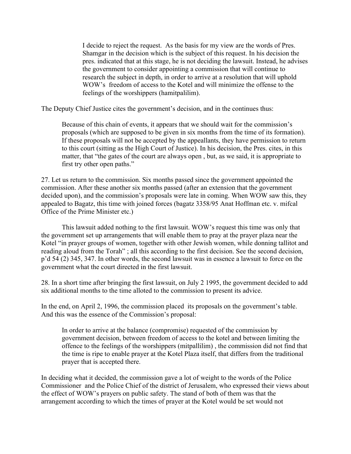I decide to reject the request. As the basis for my view are the words of Pres. Shamgar in the decision which is the subject of this request. In his decision the pres. indicated that at this stage, he is not deciding the lawsuit. Instead, he advises the government to consider appointing a commission that will continue to research the subject in depth, in order to arrive at a resolution that will uphold WOW's freedom of access to the Kotel and will minimize the offense to the feelings of the worshippers (hamitpalilim).

The Deputy Chief Justice cites the government's decision, and in the continues thus:

Because of this chain of events, it appears that we should wait for the commission's proposals (which are supposed to be given in six months from the time of its formation). If these proposals will not be accepted by the appeallants, they have permission to return to this court (sitting as the High Court of Justice). In his decision, the Pres. cites, in this matter, that "the gates of the court are always open , but, as we said, it is appropriate to first try other open paths."

27. Let us return to the commission. Six months passed since the government appointed the commission. After these another six months passed (after an extension that the government decided upon), and the commission's proposals were late in coming. When WOW saw this, they appealed to Bagatz, this time with joined forces (bagatz 3358/95 Anat Hoffman etc. v. mifcal Office of the Prime Minister etc.)

This lawsuit added nothing to the first lawsuit. WOW's request this time was only that the government set up arrangements that will enable them to pray at the prayer plaza near the Kotel "in prayer groups of women, together with other Jewish women, while donning tallitot and reading aloud from the Torah" ; all this according to the first decision. See the second decision, p'd 54 (2) 345, 347. In other words, the second lawsuit was in essence a lawsuit to force on the government what the court directed in the first lawsuit.

28. In a short time after bringing the first lawsuit, on July 2 1995, the government decided to add six additional months to the time alloted to the commission to present its advice.

In the end, on April 2, 1996, the commission placed its proposals on the government's table. And this was the essence of the Commission's proposal:

In order to arrive at the balance (compromise) requested of the commission by government decision, between freedom of access to the kotel and between limiting the offence to the feelings of the worshippers (mitpallilim) , the commission did not find that the time is ripe to enable prayer at the Kotel Plaza itself, that differs from the traditional prayer that is accepted there.

In deciding what it decided, the commission gave a lot of weight to the words of the Police Commissioner and the Police Chief of the district of Jerusalem, who expressed their views about the effect of WOW's prayers on public safety. The stand of both of them was that the arrangement according to which the times of prayer at the Kotel would be set would not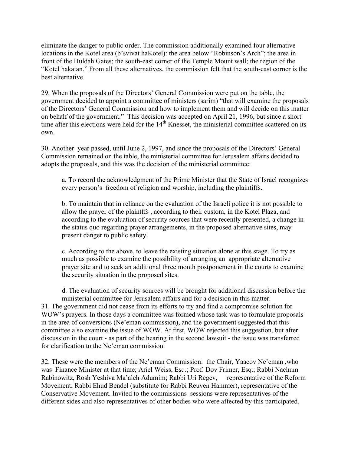eliminate the danger to public order. The commission additionally examined four alternative locations in the Kotel area (b'svivat haKotel): the area below "Robinson's Arch"; the area in front of the Huldah Gates; the south-east corner of the Temple Mount wall; the region of the "Kotel hakatan." From all these alternatives, the commission felt that the south-east corner is the best alternative.

29. When the proposals of the Directors' General Commission were put on the table, the government decided to appoint a committee of ministers (sarim) "that will examine the proposals of the Directors' General Commission and how to implement them and will decide on this matter on behalf of the government." This decision was accepted on April 21, 1996, but since a short time after this elections were held for the 14<sup>th</sup> Knesset, the ministerial committee scattered on its own.

30. Another year passed, until June 2, 1997, and since the proposals of the Directors' General Commission remained on the table, the ministerial committee for Jerusalem affairs decided to adopts the proposals, and this was the decision of the ministerial committee:

a. To record the acknowledgment of the Prime Minister that the State of Israel recognizes every person's freedom of religion and worship, including the plaintiffs.

b. To maintain that in reliance on the evaluation of the Israeli police it is not possible to allow the prayer of the plaintffs , according to their custom, in the Kotel Plaza, and according to the evaluation of security sources that were recently presented, a change in the status quo regarding prayer arrangements, in the proposed alternative sites, may present danger to public safety.

c. According to the above, to leave the existing situation alone at this stage. To try as much as possible to examine the possibility of arranging an appropriate alternative prayer site and to seek an additional three month postponement in the courts to examine the security situation in the proposed sites.

d. The evaluation of security sources will be brought for additional discussion before the ministerial committee for Jerusalem affairs and for a decision in this matter. 31. The government did not cease from its efforts to try and find a compromise solution for WOW's prayers. In those days a committee was formed whose task was to formulate proposals in the area of conversions (Ne'eman commission), and the government suggested that this committee also examine the issue of WOW. At first, WOW rejected this suggestion, but after discussion in the court - as part of the hearing in the second lawsuit - the issue was transferred for clarification to the Ne'eman commission.

32. These were the members of the Ne'eman Commission: the Chair, Yaacov Ne'eman ,who was Finance Minister at that time; Ariel Weiss, Esq.; Prof. Dov Frimer, Esq.; Rabbi Nachum Rabinowitz, Rosh Yeshiva Ma'aleh Adumim; Rabbi Uri Regev, representative of the Reform Movement; Rabbi Ehud Bendel (substitute for Rabbi Reuven Hammer), representative of the Conservative Movement. Invited to the commissions sessions were representatives of the different sides and also representatives of other bodies who were affected by this participated,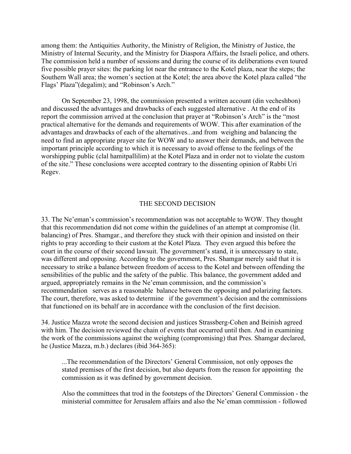among them: the Antiquities Authority, the Ministry of Religion, the Ministry of Justice, the Ministry of Internal Security, and the Ministry for Diaspora Affairs, the Israeli police, and others. The commission held a number of sessions and during the course of its deliberations even toured five possible prayer sites: the parking lot near the entrance to the Kotel plaza, near the steps; the Southern Wall area; the women's section at the Kotel; the area above the Kotel plaza called "the Flags' Plaza"(degalim); and "Robinson's Arch."

On September 23, 1998, the commission presented a written account (din vecheshbon) and discussed the advantages and drawbacks of each suggested alternative . At the end of its report the commission arrived at the conclusion that prayer at "Robinson's Arch" is the "most practical alternative for the demands and requirements of WOW. This after examination of the advantages and drawbacks of each of the alternatives...and from weighing and balancing the need to find an appropriate prayer site for WOW and to answer their demands, and between the important principle according to which it is necessary to avoid offense to the feelings of the worshipping public (clal hamitpallilim) at the Kotel Plaza and in order not to violate the custom of the site." These conclusions were accepted contrary to the dissenting opinion of Rabbi Uri Regev.

### THE SECOND DECISION

33. The Ne'eman's commission's recommendation was not acceptable to WOW. They thought that this recommendation did not come within the guidelines of an attempt at compromise (lit. balancing) of Pres. Shamgar., and therefore they stuck with their opinion and insisted on their rights to pray according to their custom at the Kotel Plaza. They even argued this before the court in the course of their second lawsuit. The government's stand, it is unnecessary to state, was different and opposing. According to the government, Pres. Shamgar merely said that it is necessary to strike a balance between freedom of access to the Kotel and between offending the sensibilities of the public and the safety of the public. This balance, the government added and argued, appropriately remains in the Ne'eman commission, and the commission's recommendation serves as a reasonable balance between the opposing and polarizing factors. The court, therefore, was asked to determine if the government's decision and the commissions that functioned on its behalf are in accordance with the conclusion of the first decision.

34. Justice Mazza wrote the second decision and justices Strassberg-Cohen and Beinish agreed with him. The decision reviewed the chain of events that occurred until then. And in examining the work of the commissions against the weighing (compromising) that Pres. Shamgar declared, he (Justice Mazza, m.b.) declares (ibid 364-365):

...The recommendation of the Directors' General Commission, not only opposes the stated premises of the first decision, but also departs from the reason for appointing the commission as it was defined by government decision.

Also the committees that trod in the footsteps of the Directors' General Commission - the ministerial committee for Jerusalem affairs and also the Ne'eman commission - followed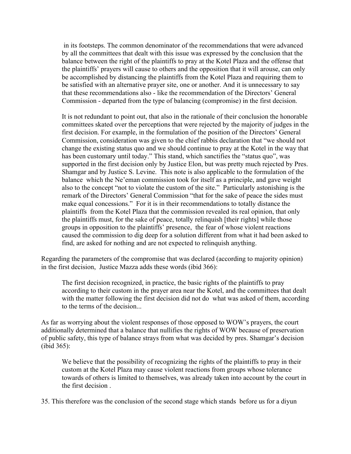in its footsteps. The common denominator of the recommendations that were advanced by all the committees that dealt with this issue was expressed by the conclusion that the balance between the right of the plaintiffs to pray at the Kotel Plaza and the offense that the plaintiffs' prayers will cause to others and the opposition that it will arouse, can only be accomplished by distancing the plaintiffs from the Kotel Plaza and requiring them to be satisfied with an alternative prayer site, one or another. And it is unnecessary to say that these recommendations also - like the recommendation of the Directors' General Commission - departed from the type of balancing (compromise) in the first decision.

It is not redundant to point out, that also in the rationale of their conclusion the honorable committees skated over the perceptions that were rejected by the majority of judges in the first decision. For example, in the formulation of the position of the Directors' General Commission, consideration was given to the chief rabbis declaration that "we should not change the existing status quo and we should continue to pray at the Kotel in the way that has been customary until today." This stand, which sanctifies the "status quo", was supported in the first decision only by Justice Elon, but was pretty much rejected by Pres. Shamgar and by Justice S. Levine. This note is also applicable to the formulation of the balance which the Ne'eman commission took for itself as a principle, and gave weight also to the concept "not to violate the custom of the site." Particularly astonishing is the remark of the Directors' General Commission "that for the sake of peace the sides must make equal concessions." For it is in their recommendations to totally distance the plaintiffs from the Kotel Plaza that the commission revealed its real opinion, that only the plaintiffs must, for the sake of peace, totally relinquish [their rights] while those groups in opposition to the plaintiffs' presence, the fear of whose violent reactions caused the commission to dig deep for a solution different from what it had been asked to find, are asked for nothing and are not expected to relinquish anything.

Regarding the parameters of the compromise that was declared (according to majority opinion) in the first decision, Justice Mazza adds these words (ibid 366):

The first decision recognized, in practice, the basic rights of the plaintiffs to pray according to their custom in the prayer area near the Kotel, and the committees that dealt with the matter following the first decision did not do what was asked of them, according to the terms of the decision...

As far as worrying about the violent responses of those opposed to WOW's prayers, the court additionally determined that a balance that nullifies the rights of WOW because of preservation of public safety, this type of balance strays from what was decided by pres. Shamgar's decision (ibid 365):

We believe that the possibility of recognizing the rights of the plaintiffs to pray in their custom at the Kotel Plaza may cause violent reactions from groups whose tolerance towards of others is limited to themselves, was already taken into account by the court in the first decision .

35. This therefore was the conclusion of the second stage which stands before us for a diyun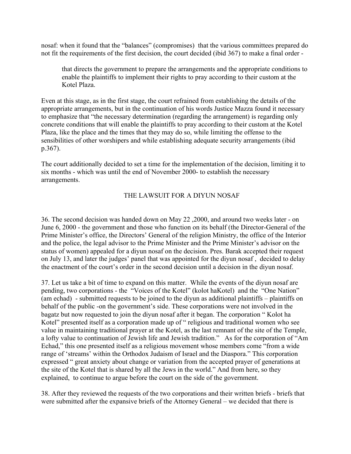nosaf: when it found that the "balances" (compromises) that the various committees prepared do not fit the requirements of the first decision, the court decided (ibid 367) to make a final order -

that directs the government to prepare the arrangements and the appropriate conditions to enable the plaintiffs to implement their rights to pray according to their custom at the Kotel Plaza.

Even at this stage, as in the first stage, the court refrained from establishing the details of the appropriate arrangements, but in the continuation of his words Justice Mazza found it necessary to emphasize that "the necessary determination (regarding the arrangement) is regarding only concrete conditions that will enable the plaintiffs to pray according to their custom at the Kotel Plaza, like the place and the times that they may do so, while limiting the offense to the sensibilities of other worshipers and while establishing adequate security arrangements (ibid p.367).

The court additionally decided to set a time for the implementation of the decision, limiting it to six months - which was until the end of November 2000- to establish the necessary arrangements.

# THE LAWSUIT FOR A DIYUN NOSAF

36. The second decision was handed down on May 22 ,2000, and around two weeks later - on June 6, 2000 - the government and those who function on its behalf (the Director-General of the Prime Minister's office, the Directors' General of the religion Ministry, the office of the Interior and the police, the legal advisor to the Prime Minister and the Prime Minister's advisor on the status of women) appealed for a diyun nosaf on the decision. Pres. Barak accepted their request on July 13, and later the judges' panel that was appointed for the diyun nosaf , decided to delay the enactment of the court's order in the second decision until a decision in the diyun nosaf.

37. Let us take a bit of time to expand on this matter. While the events of the diyun nosaf are pending, two corporations - the "Voices of the Kotel" (kolot haKotel) and the "One Nation" (am echad) - submitted requests to be joined to the diyun as additional plaintiffs – plaintiffs on behalf of the public -on the government's side. These corporations were not involved in the bagatz but now requested to join the diyun nosaf after it began. The corporation " Kolot ha Kotel" presented itself as a corporation made up of " religious and traditional women who see value in maintaining traditional prayer at the Kotel, as the last remnant of the site of the Temple, a lofty value to continuation of Jewish life and Jewish tradition." As for the corporation of "Am Echad," this one presented itself as a religious movement whose members come "from a wide range of 'streams' within the Orthodox Judaism of Israel and the Diaspora." This corporation expressed " great anxiety about change or variation from the accepted prayer of generations at the site of the Kotel that is shared by all the Jews in the world." And from here, so they explained, to continue to argue before the court on the side of the government.

38. After they reviewed the requests of the two corporations and their written briefs - briefs that were submitted after the expansive briefs of the Attorney General – we decided that there is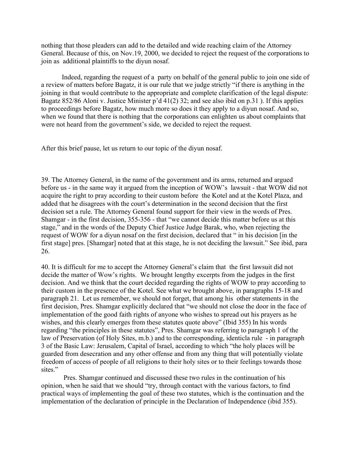nothing that those pleaders can add to the detailed and wide reaching claim of the Attorney General. Because of this, on Nov.19, 2000, we decided to reject the request of the corporations to join as additional plaintiffs to the diyun nosaf.

Indeed, regarding the request of a party on behalf of the general public to join one side of a review of matters before Bagatz, it is our rule that we judge strictly "if there is anything in the joining in that would contribute to the appropriate and complete clarification of the legal dispute: Bagatz 852/86 Aloni v. Justice Minister p'd 41(2) 32; and see also ibid on p.31 ). If this applies to proceedings before Bagatz, how much more so does it they apply to a diyun nosaf. And so, when we found that there is nothing that the corporations can enlighten us about complaints that were not heard from the government's side, we decided to reject the request.

After this brief pause, let us return to our topic of the diyun nosaf.

39. The Attorney General, in the name of the government and its arms, returned and argued before us - in the same way it argued from the inception of WOW's lawsuit - that WOW did not acquire the right to pray according to their custom before the Kotel and at the Kotel Plaza, and added that he disagrees with the court's determination in the second decision that the first decision set a rule. The Attorney General found support for their view in the words of Pres. Shamgar - in the first decision, 355-356 - that "we cannot decide this matter before us at this stage," and in the words of the Deputy Chief Justice Judge Barak, who, when rejecting the request of WOW for a diyun nosaf on the first decision, declared that " in his decision [in the first stage] pres. [Shamgar] noted that at this stage, he is not deciding the lawsuit." See ibid, para 26.

40. It is difficult for me to accept the Attorney General's claim that the first lawsuit did not decide the matter of Wow's rights. We brought lengthy excerpts from the judges in the first decision. And we think that the court decided regarding the rights of WOW to pray according to their custom in the presence of the Kotel. See what we brought above, in paragraphs 15-18 and paragraph 21. Let us remember, we should not forget, that among his other statements in the first decision, Pres. Shamgar explicitly declared that "we should not close the door in the face of implementation of the good faith rights of anyone who wishes to spread out his prayers as he wishes, and this clearly emerges from these statutes quote above" (Ibid 355) In his words regarding "the principles in these statutes", Pres. Shamgar was referring to paragraph 1 of the law of Preservation (of Holy Sites, m.b.) and to the corresponding, identicla rule - in paragraph 3 of the Basic Law: Jerusalem, Capital of Israel, according to which "the holy places will be guarded from desecration and any other offense and from any thing that will potentially violate freedom of access of people of all religions to their holy sites or to their feelings towards those sites."

Pres. Shamgar continued and discussed these two rules in the continuation of his opinion, when he said that we should "try, through contact with the various factors, to find practical ways of implementing the goal of these two statutes, which is the continuation and the implementation of the declaration of principle in the Declaration of Independence (ibid 355).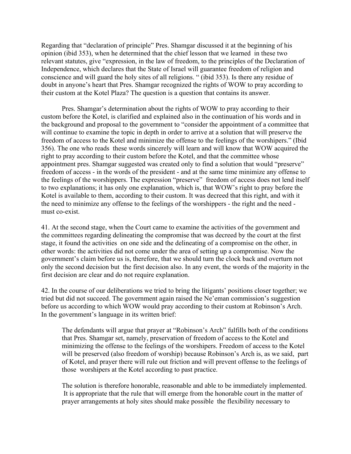Regarding that "declaration of principle" Pres. Shamgar discussed it at the beginning of his opinion (ibid 353), when he determined that the chief lesson that we learned in these two relevant statutes, give "expression, in the law of freedom, to the principles of the Declaration of Independence, which declares that the State of Israel will guarantee freedom of religion and conscience and will guard the holy sites of all religions. " (ibid 353). Is there any residue of doubt in anyone's heart that Pres. Shamgar recognized the rights of WOW to pray according to their custom at the Kotel Plaza? The question is a question that contains its answer.

Pres. Shamgar's determination about the rights of WOW to pray according to their custom before the Kotel, is clarified and explained also in the continuation of his words and in the background and proposal to the government to "consider the appointment of a committee that will continue to examine the topic in depth in order to arrive at a solution that will preserve the freedom of access to the Kotel and minimize the offense to the feelings of the worshipers." (Ibid 356). The one who reads these words sincerely will learn and will know that WOW acquired the right to pray according to their custom before the Kotel, and that the committee whose appointment pres. Shamgar suggested was created only to find a solution that would "preserve" freedom of access - in the words of the president - and at the same time minimize any offense to the feelings of the worshippers. The expression "preserve" freedom of access does not lend itself to two explanations; it has only one explanation, which is, that WOW's right to pray before the Kotel is available to them, according to their custom. It was decreed that this right, and with it the need to minimize any offense to the feelings of the worshippers - the right and the need must co-exist.

41. At the second stage, when the Court came to examine the activities of the government and the committees regarding delineating the compromise that was decreed by the court at the first stage, it found the activities on one side and the delineating of a compromise on the other, in other words: the activities did not come under the area of setting up a compromise. Now the government's claim before us is, therefore, that we should turn the clock back and overturn not only the second decision but the first decision also. In any event, the words of the majority in the first decision are clear and do not require explanation.

42. In the course of our deliberations we tried to bring the litigants' positions closer together; we tried but did not succeed. The government again raised the Ne'eman commission's suggestion before us according to which WOW would pray according to their custom at Robinson's Arch. In the government's language in its written brief:

The defendants will argue that prayer at "Robinson's Arch" fulfills both of the conditions that Pres. Shamgar set, namely, preservation of freedom of access to the Kotel and minimizing the offense to the feelings of the worshipers. Freedom of access to the Kotel will be preserved (also freedom of worship) because Robinson's Arch is, as we said, part of Kotel, and prayer there will rule out friction and will prevent offense to the feelings of those worshipers at the Kotel according to past practice.

The solution is therefore honorable, reasonable and able to be immediately implemented. It is appropriate that the rule that will emerge from the honorable court in the matter of prayer arrangements at holy sites should make possible the flexibility necessary to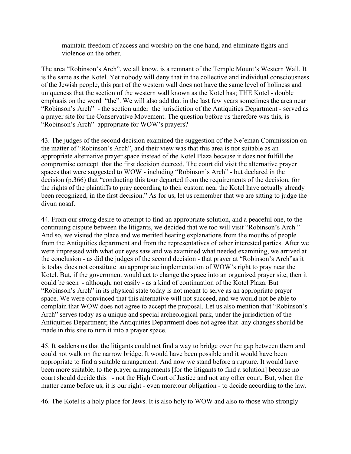maintain freedom of access and worship on the one hand, and eliminate fights and violence on the other.

The area "Robinson's Arch", we all know, is a remnant of the Temple Mount's Western Wall. It is the same as the Kotel. Yet nobody will deny that in the collective and individual consciousness of the Jewish people, this part of the western wall does not have the same level of holiness and uniqueness that the section of the western wall known as the Kotel has; THE Kotel - double emphasis on the word "the". We will also add that in the last few years sometimes the area near "Robinson's Arch" - the section under the jurisdiction of the Antiquities Department - served as a prayer site for the Conservative Movement. The question before us therefore was this, is "Robinson's Arch" appropriate for WOW's prayers?

43. The judges of the second decision examined the suggestion of the Ne'eman Commisssion on the matter of "Robinson's Arch", and their view was that this area is not suitable as an appropriate alternative prayer space instead of the Kotel Plaza because it does not fulfill the compromise concept that the first decision decreed. The court did visit the alternative prayer spaces that were suggested to WOW - including "Robinson's Arch" - but declared in the decision (p.366) that "conducting this tour departed from the requirements of the decision, for the rights of the plaintiffs to pray according to their custom near the Kotel have actually already been recognized, in the first decision." As for us, let us remember that we are sitting to judge the diyun nosaf.

44. From our strong desire to attempt to find an appropriate solution, and a peaceful one, to the continuing dispute between the litigants, we decided that we too will visit "Robinson's Arch." And so, we visited the place and we merited hearing explanations from the mouths of people from the Antiquities department and from the representatives of other interested parties. After we were impressed with what our eyes saw and we examined what needed examining, we arrived at the conclusion - as did the judges of the second decision - that prayer at "Robinson's Arch"as it is today does not constitute an appropriate implementation of WOW's right to pray near the Kotel. But, if the government would act to change the space into an organized prayer site, then it could be seen - although, not easily - as a kind of continuation of the Kotel Plaza. But "Robinson's Arch" in its physical state today is not meant to serve as an appropriate prayer space. We were convinced that this alternative will not succeed, and we would not be able to complain that WOW does not agree to accept the proposal. Let us also mention that "Robinson's Arch" serves today as a unique and special archeological park, under the jurisdiction of the Antiquities Department; the Antiquities Department does not agree that any changes should be made in this site to turn it into a prayer space.

45. It saddens us that the litigants could not find a way to bridge over the gap between them and could not walk on the narrow bridge. It would have been possible and it would have been appropriate to find a suitable arrangement. And now we stand before a rupture. It would have been more suitable, to the prayer arrangements [for the litigants to find a solution] because no court should decide this - not the High Court of Justice and not any other court. But, when the matter came before us, it is our right - even more:our obligation - to decide according to the law.

46. The Kotel is a holy place for Jews. It is also holy to WOW and also to those who strongly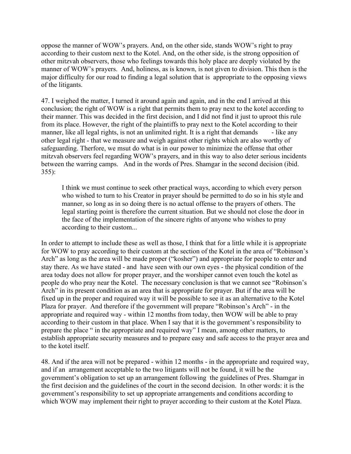oppose the manner of WOW's prayers. And, on the other side, stands WOW's right to pray according to their custom next to the Kotel. And, on the other side, is the strong opposition of other mitzvah observers, those who feelings towards this holy place are deeply violated by the manner of WOW's prayers. And, holiness, as is known, is not given to division. This then is the major difficulty for our road to finding a legal solution that is appropriate to the opposing views of the litigants.

47. I weighed the matter, I turned it around again and again, and in the end I arrived at this conclusion; the right of WOW is a right that permits them to pray next to the kotel according to their manner. This was decided in the first decision, and I did not find it just to uproot this rule from its place. However, the right of the plaintiffs to pray next to the Kotel according to their manner, like all legal rights, is not an unlimited right. It is a right that demands - like any other legal right - that we measure and weigh against other rights which are also worthy of safeguarding. Therfore, we msut do what is in our power to minimize the offense that other mitzvah observers feel regarding WOW's prayers, and in this way to also deter serious incidents between the warring camps. And in the words of Pres. Shamgar in the second decision (ibid. 355):

I think we must continue to seek other practical ways, according to which every person who wished to turn to his Creator in prayer should be permitted to do so in his style and manner, so long as in so doing there is no actual offense to the prayers of others. The legal starting point is therefore the current situation. But we should not close the door in the face of the implementation of the sincere rights of anyone who wishes to pray according to their custom...

In order to attempt to include these as well as those, I think that for a little while it is appropriate for WOW to pray according to their custom at the section of the Kotel in the area of "Robinson's Arch" as long as the area will be made proper ("kosher") and appropriate for people to enter and stay there. As we have stated - and have seen with our own eyes - the physical condition of the area today does not allow for proper prayer, and the worshiper cannot even touch the kotel as people do who pray near the Kotel. The necessary conclusion is that we cannot see "Robinson's Arch" in its present condition as an area that is appropriate for prayer. But if the area will be fixed up in the proper and required way it will be possible to see it as an alternative to the Kotel Plaza for prayer. And therefore if the government will prepare "Robinson's Arch" - in the appropriate and required way - within 12 months from today, then WOW will be able to pray according to their custom in that place. When I say that it is the government's responsibility to prepare the place " in the appropriate and required way" I mean, among other matters, to establish appropriate security measures and to prepare easy and safe access to the prayer area and to the kotel itself.

48. And if the area will not be prepared - within 12 months - in the appropriate and required way, and if an arrangement acceptable to the two litigants will not be found, it will be the government's obligation to set up an arrangement following the guidelines of Pres. Shamgar in the first decision and the guidelines of the court in the second decision. In other words: it is the government's responsibility to set up appropriate arrangements and conditions according to which WOW may implement their right to prayer according to their custom at the Kotel Plaza.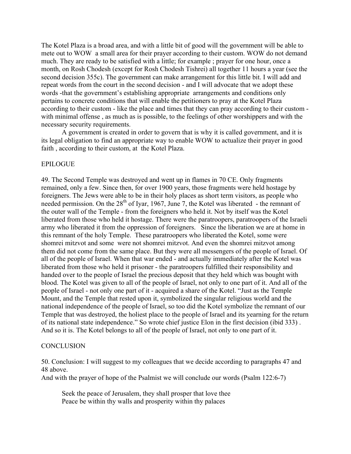The Kotel Plaza is a broad area, and with a little bit of good will the government will be able to mete out to WOW a small area for their prayer according to their custom. WOW do not demand much. They are ready to be satisfied with a little; for example ; prayer for one hour, once a month, on Rosh Chodesh (except for Rosh Chodesh Tishrei) all together 11 hours a year (see the second decision 355c). The government can make arrangement for this little bit. I will add and repeat words from the court in the second decision - and I will advocate that we adopt these words -that the government's establishing appropriate arrangements and conditions only pertains to concrete conditions that will enable the petitioners to pray at the Kotel Plaza according to their custom - like the place and times that they can pray according to their custom with minimal offense , as much as is possible, to the feelings of other worshippers and with the necessary security requirements.

A government is created in order to govern that is why it is called government, and it is its legal obligation to find an appropriate way to enable WOW to actualize their prayer in good faith , according to their custom, at the Kotel Plaza.

### EPILOGUE

49. The Second Temple was destroyed and went up in flames in 70 CE. Only fragments remained, only a few. Since then, for over 1900 years, those fragments were held hostage by foreigners. The Jews were able to be in their holy places as short term visitors, as people who needed permission. On the  $28<sup>th</sup>$  of Iyar, 1967, June 7, the Kotel was liberated - the remnant of the outer wall of the Temple - from the foreigners who held it. Not by itself was the Kotel liberated from those who held it hostage. There were the paratroopers, paratroopers of the Israeli army who liberated it from the oppression of foreigners. Since the liberation we are at home in this remnant of the holy Temple. These paratroopers who liberated the Kotel, some were shomrei mitzvot and some were not shomrei mitzvot. And even the shomrei mitzvot among them did not come from the same place. But they were all messengers of the people of Israel. Of all of the people of Israel. When that war ended - and actually immediately after the Kotel was liberated from those who held it prisoner - the paratroopers fulfilled their responsibility and handed over to the people of Israel the precious deposit that they held which was bought with blood. The Kotel was given to all of the people of Israel, not only to one part of it. And all of the people of Israel - not only one part of it - acquired a share of the Kotel. "Just as the Temple Mount, and the Temple that rested upon it, symbolized the singular religious world and the national independence of the people of Israel, so too did the Kotel symbolize the remnant of our Temple that was destroyed, the holiest place to the people of Israel and its yearning for the return of its national state independence." So wrote chief justice Elon in the first decision (ibid 333) . And so it is. The Kotel belongs to all of the people of Israel, not only to one part of it.

#### **CONCLUSION**

50. Conclusion: I will suggest to my colleagues that we decide according to paragraphs 47 and 48 above.

And with the prayer of hope of the Psalmist we will conclude our words (Psalm 122:6-7)

Seek the peace of Jerusalem, they shall prosper that love thee Peace be within thy walls and prosperity within thy palaces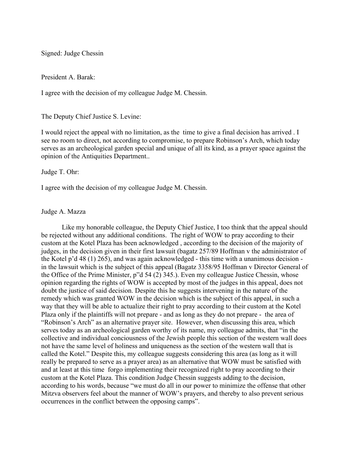Signed: Judge Chessin

President A. Barak:

I agree with the decision of my colleague Judge M. Chessin.

The Deputy Chief Justice S. Levine:

I would reject the appeal with no limitation, as the time to give a final decision has arrived . I see no room to direct, not according to compromise, to prepare Robinson's Arch, which today serves as an archeological garden special and unique of all its kind, as a prayer space against the opinion of the Antiquities Department..

Judge T. Ohr:

I agree with the decision of my colleague Judge M. Chessin.

### Judge A. Mazza

Like my honorable colleague, the Deputy Chief Justice, I too think that the appeal should be rejected without any additional conditions. The right of WOW to pray according to their custom at the Kotel Plaza has been acknowledged , according to the decision of the majority of judges, in the decision given in their first lawsuit (bagatz 257/89 Hoffman v the administrator of the Kotel p'd 48 (1) 265), and was again acknowledged - this time with a unanimous decision in the lawsuit which is the subject of this appeal (Bagatz 3358/95 Hoffman v Director General of the Office of the Prime Minister, p"d 54 (2) 345.). Even my colleague Justice Chessin, whose opinion regarding the rights of WOW is accepted by most of the judges in this appeal, does not doubt the justice of said decision. Despite this he suggests intervening in the nature of the remedy which was granted WOW in the decision which is the subject of this appeal, in such a way that they will be able to actualize their right to pray according to their custom at the Kotel Plaza only if the plaintiffs will not prepare - and as long as they do not prepare - the area of "Robinson's Arch" as an alternative prayer site. However, when discussing this area, which serves today as an archeological garden worthy of its name, my colleague admits, that "in the collective and individual conciousness of the Jewish people this section of the western wall does not have the same level of holiness and uniqueness as the section of the western wall that is called the Kotel." Despite this, my colleague suggests considering this area (as long as it will really be prepared to serve as a prayer area) as an alternative that WOW must be satisfied with and at least at this time forgo implementing their recognized right to pray according to their custom at the Kotel Plaza. This condition Judge Chessin suggests adding to the decision, according to his words, because "we must do all in our power to minimize the offense that other Mitzva observers feel about the manner of WOW's prayers, and thereby to also prevent serious occurrences in the conflict between the opposing camps".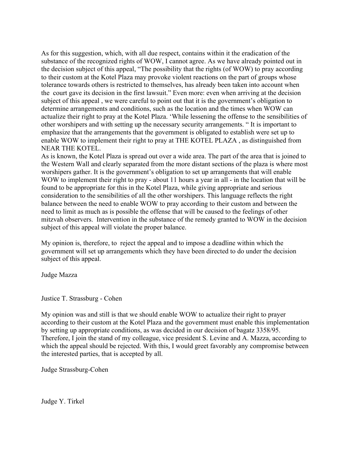As for this suggestion, which, with all due respect, contains within it the eradication of the substance of the recognized rights of WOW, I cannot agree. As we have already pointed out in the decision subject of this appeal, "The possibility that the rights (of WOW) to pray according to their custom at the Kotel Plaza may provoke violent reactions on the part of groups whose tolerance towards others is restricted to themselves, has already been taken into account when the court gave its decision in the first lawsuit." Even more: even when arriving at the decision subject of this appeal , we were careful to point out that it is the government's obligation to determine arrangements and conditions, such as the location and the times when WOW can actualize their right to pray at the Kotel Plaza. 'While lessening the offense to the sensibilities of other worshipers and with setting up the necessary security arrangements. " It is important to emphasize that the arrangements that the government is obligated to establish were set up to enable WOW to implement their right to pray at THE KOTEL PLAZA , as distinguished from NEAR THE KOTEL.

As is known, the Kotel Plaza is spread out over a wide area. The part of the area that is joined to the Western Wall and clearly separated from the more distant sections of the plaza is where most worshipers gather. It is the government's obligation to set up arrangements that will enable WOW to implement their right to pray - about 11 hours a year in all - in the location that will be found to be appropriate for this in the Kotel Plaza, while giving appropriate and serious consideration to the sensibilities of all the other worshipers. This language reflects the right balance between the need to enable WOW to pray according to their custom and between the need to limit as much as is possible the offense that will be caused to the feelings of other mitzvah observers. Intervention in the substance of the remedy granted to WOW in the decision subject of this appeal will violate the proper balance.

My opinion is, therefore, to reject the appeal and to impose a deadline within which the government will set up arrangements which they have been directed to do under the decision subject of this appeal.

Judge Mazza

Justice T. Strassburg - Cohen

My opinion was and still is that we should enable WOW to actualize their right to prayer according to their custom at the Kotel Plaza and the government must enable this implementation by setting up appropriate conditions, as was decided in our decision of bagatz 3358/95. Therefore, I join the stand of my colleague, vice president S. Levine and A. Mazza, according to which the appeal should be rejected. With this, I would greet favorably any compromise between the interested parties, that is accepted by all.

Judge Strassburg-Cohen

Judge Y. Tirkel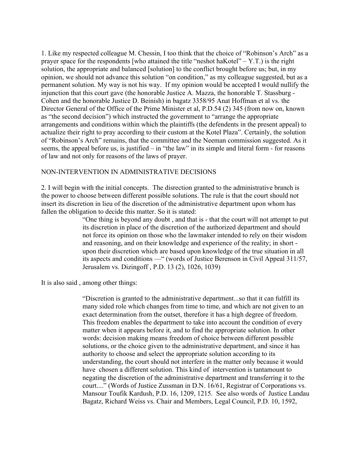1. Like my respected colleague M. Chessin, I too think that the choice of "Robinson's Arch" as a prayer space for the respondents [who attained the title "neshot haKotel" –  $Y.T.$ ) is the right solution, the appropriate and balanced [solution] to the conflict brought before us; but, in my opinion, we should not advance this solution "on condition," as my colleague suggested, but as a permanent solution. My way is not his way. If my opinion would be accepted I would nullify the injunction that this court gave (the honorable Justice A. Mazza, the honorable T. Stassburg - Cohen and the honorable Justice D. Beinish) in bagatz 3358/95 Anat Hoffman et al vs. the Director General of the Office of the Prime Minister et al, P.D.54 (2) 345 (from now on, known as "the second decision") which instructed the government to "arrange the appropriate arrangements and conditions within which the plaintiffs (the defendents in the present appeal) to actualize their right to pray according to their custom at the Kotel Plaza". Certainly, the solution of "Robinson's Arch" remains, that the committee and the Neeman commission suggested. As it seems, the appeal before us, is justified – in "the law" in its simple and literal form - for reasons of law and not only for reasons of the laws of prayer.

### NON-INTERVENTION IN ADMINISTRATIVE DECISIONS

2. I will begin with the initial concepts. The disrection granted to the administrative branch is the power to choose between different possible solutions. The rule is that the court should not insert its discretion in lieu of the discretion of the administrative department upon whom has fallen the obligation to decide this matter. So it is stated:

> "One thing is beyond any doubt , and that is - that the court will not attempt to put its discretion in place of the discretion of the authorized department and should not force its opinion on those who the lawmaker intended to rely on their wisdom and reasoning, and on their knowledge and experience of the reality; in short upon their discretion which are based upon knowledge of the true situation in all its aspects and conditions —" (words of Justice Berenson in Civil Appeal 311/57, Jerusalem vs. Dizingoff , P.D. 13 (2), 1026, 1039)

It is also said , among other things:

"Discretion is granted to the administrative department...so that it can fulfill its many sided role which changes from time to time, and which are not given to an exact determination from the outset, therefore it has a high degree of freedom. This freedom enables the department to take into account the condition of every matter when it appears before it, and to find the appropriate solution. In other words: decision making means freedom of choice between different possible solutions, or the choice given to the administrative department, and since it has authority to choose and select the appropriate solution according to its understanding, the court should not interfere in the matter only because it would have chosen a different solution. This kind of intervention is tantamount to negating the discretion of the administrative department and transferring it to the court...." (Words of Justice Zussman in D.N. 16/61, Registrar of Corporations vs. Mansour Toufik Kardush, P.D. 16, 1209, 1215. See also words of Justice Landau Bagatz, Richard Weiss vs. Chair and Members, Legal Council, P.D. 10, 1592,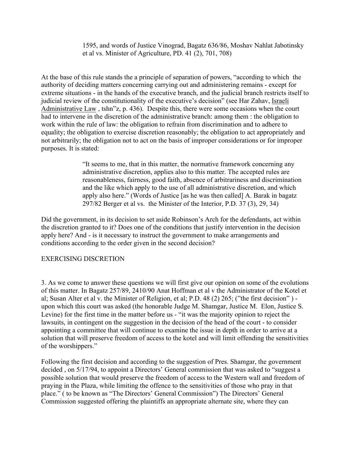1595, and words of Justice Vinograd, Bagatz 636/86, Moshav Nahlat Jabotinsky et al vs. Minister of Agriculture, PD. 41 (2), 701, 708)

At the base of this rule stands the a principle of separation of powers, "according to which the authority of deciding matters concerning carrying out and administering remains - except for extreme situations - in the hands of the executive branch, and the judicial branch restricts itself to judicial review of the constitutionality of the executive's decision" (see Har Zahav, Israeli Administrative Law , tshn"z, p. 436). Despite this, there were some occasions when the court had to intervene in the discretion of the administrative branch: among them : the obligation to work within the rule of law: the obligation to refrain from discrimination and to adhere to equality; the obligation to exercise discretion reasonably; the obligation to act appropriately and not arbitrarily; the obligation not to act on the basis of improper considerations or for improper purposes. It is stated:

> "It seems to me, that in this matter, the normative framework concerning any administrative discretion, applies also to this matter. The accepted rules are reasonableness, fairness, good faith, absence of arbitrariness and discrimination and the like which apply to the use of all administrative discretion, and which apply also here." (Words of Justice [as he was then called] A. Barak in bagatz 297/82 Berger et al vs. the Minister of the Interior, P.D. 37 (3), 29, 34)

Did the government, in its decision to set aside Robinson's Arch for the defendants, act within the discretion granted to it? Does one of the conditions that justify intervention in the decision apply here? And - is it necessary to instruct the government to make arrangements and conditions according to the order given in the second decision?

## EXERCISING DISCRETION

3. As we come to answer these questions we will first give our opinion on some of the evolutions of this matter. In Bagatz 257/89, 2410/90 Anat Hoffman et al v the Administrator of the Kotel et al; Susan Alter et al v. the Minister of Religion, et al; P.D. 48 (2) 265; ("the first decision" ) upon which this court was asked (the honorable Judge M. Shamgar, Justice M. Elon, Justice S. Levine) for the first time in the matter before us - "it was the majority opinion to reject the lawsuits, in contingent on the suggestion in the decision of the head of the court - to consider appointing a committee that will continue to examine the issue in depth in order to arrive at a solution that will preserve freedom of access to the kotel and will limit offending the sensitivities of the worshippers."

Following the first decision and according to the suggestion of Pres. Shamgar, the government decided , on 5/17/94, to appoint a Directors' General commission that was asked to "suggest a possible solution that would preserve the freedom of access to the Western wall and freedom of praying in the Plaza, while limiting the offence to the sensitivities of those who pray in that place." ( to be known as "The Directors' General Commission") The Directors' General Commission suggested offering the plaintiffs an appropriate alternate site, where they can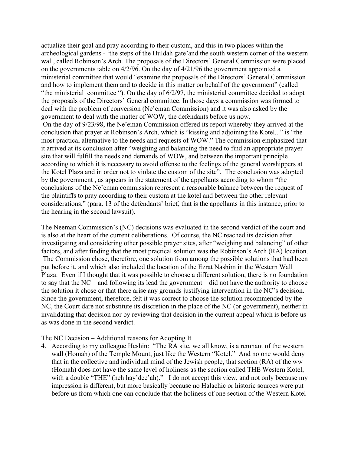actualize their goal and pray according to their custom, and this in two places within the archeological gardens - 'the steps of the Huldah gate'and the south western corner of the western wall, called Robinson's Arch. The proposals of the Directors' General Commission were placed on the governments table on 4/2/96. On the day of 4/21/96 the government appointed a ministerial committee that would "examine the proposals of the Directors' General Commission and how to implement them and to decide in this matter on behalf of the government" (called "the ministerial committee "). On the day of 6/2/97, the ministerial committee decided to adopt the proposals of the Directors' General committee. In those days a commission was formed to deal with the problem of conversion (Ne'eman Commission) and it was also asked by the government to deal with the matter of WOW, the defendants before us now. On the day of 9/23/98, the Ne'eman Commission offered its report whereby they arrived at the conclusion that prayer at Robinson's Arch, which is "kissing and adjoining the Kotel..." is "the most practical alternative to the needs and requests of WOW." The commission emphasized that it arrived at its conclusion after "weighing and balancing the need to find an appropriate prayer site that will fulfill the needs and demands of WOW, and between the important principle according to which it is necessary to avoid offense to the feelings of the general worshippers at the Kotel Plaza and in order not to violate the custom of the site". The conclusion was adopted by the government , as appears in the statement of the appellants according to whom "the conclusions of the Ne'eman commission represent a reasonable balance between the request of the plaintiffs to pray according to their custom at the kotel and between the other relevant considerations." (para. 13 of the defendants' brief, that is the appellants in this instance, prior to the hearing in the second lawsuit).

The Neeman Commission's (NC) decisions was evaluated in the second verdict of the court and is also at the heart of the current deliberations. Of course, the NC reached its decision after investigating and considering other possible prayer sites, after "weighing and balancing" of other factors, and after finding that the most practical solution was the Robinson's Arch (RA) location. The Commission chose, therefore, one solution from among the possible solutions that had been put before it, and which also included the location of the Ezrat Nashim in the Western Wall Plaza. Even if I thought that it was possible to choose a different solution, there is no foundation to say that the NC – and following its lead the government – did not have the authority to choose the solution it chose or that there arise any grounds justifying intervention in the NC's decision. Since the government, therefore, felt it was correct to choose the solution recommended by the NC, the Court dare not substitute its discretion in the place of the NC (or government), neither in invalidating that decision nor by reviewing that decision in the current appeal which is before us as was done in the second verdict.

## The NC Decision – Additional reasons for Adopting It

4. According to my colleague Heshin: "The RA site, we all know, is a remnant of the western wall (Homah) of the Temple Mount, just like the Western "Kotel." And no one would deny that in the collective and individual mind of the Jewish people, that section (RA) of the ww (Homah) does not have the same level of holiness as the section called THE Western Kotel, with a double "THE" (heh hay'dee'ah)." I do not accept this view, and not only because my impression is different, but more basically because no Halachic or historic sources were put before us from which one can conclude that the holiness of one section of the Western Kotel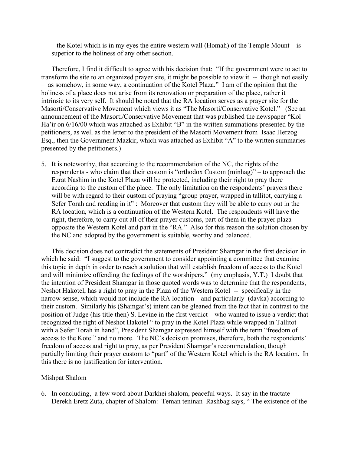– the Kotel which is in my eyes the entire western wall (Homah) of the Temple Mount – is superior to the holiness of any other section.

 Therefore, I find it difficult to agree with his decision that: "If the government were to act to transform the site to an organized prayer site, it might be possible to view it -- though not easily – as somehow, in some way, a continuation of the Kotel Plaza." I am of the opinion that the holiness of a place does not arise from its renovation or preparation of the place, rather it intrinsic to its very self. It should be noted that the RA location serves as a prayer site for the Masorti/Conservative Movement which views it as "The Masorti/Conservative Kotel." (See an announcement of the Masorti/Conservative Movement that was published the newspaper "Kol Ha'ir on 6/16/00 which was attached as Exhibit "B" in the written summations presented by the petitioners, as well as the letter to the president of the Masorti Movement from Isaac Herzog Esq., then the Government Mazkir, which was attached as Exhibit "A" to the written summaries presented by the petitioners.)

5. It is noteworthy, that according to the recommendation of the NC, the rights of the respondents - who claim that their custom is "orthodox Custom (minhag)" – to approach the Ezrat Nashim in the Kotel Plaza will be protected, including their right to pray there according to the custom of the place. The only limitation on the respondents' prayers there will be with regard to their custom of praying "group prayer, wrapped in tallitot, carrying a Sefer Torah and reading in it" : Moreover that custom they will be able to carry out in the RA location, which is a continuation of the Western Kotel. The respondents will have the right, therefore, to carry out all of their prayer customs, part of them in the prayer plaza opposite the Western Kotel and part in the "RA." Also for this reason the solution chosen by the NC and adopted by the government is suitable, worthy and balanced.

 This decision does not contradict the statements of President Shamgar in the first decision in which he said: "I suggest to the government to consider appointing a committee that examine this topic in depth in order to reach a solution that will establish freedom of access to the Kotel and will minimize offending the feelings of the worshipers." (my emphasis, Y.T.) I doubt that the intention of President Shamgar in those quoted words was to determine that the respondents, Neshot Hakotel, has a right to pray in the Plaza of the Western Kotel -- specifically in the narrow sense, which would not include the RA location – and particularly (davka) according to their custom. Similarly his (Shamgar's) intent can be gleaned from the fact that in contrast to the position of Judge (his title then) S. Levine in the first verdict – who wanted to issue a verdict that recognized the right of Neshot Hakotel " to pray in the Kotel Plaza while wrapped in Tallitot with a Sefer Torah in hand", President Shamgar expressed himself with the term "freedom of access to the Kotel" and no more. The NC's decision promises, therefore, both the respondents' freedom of access and right to pray, as per President Shamgar's recommendation, though partially limiting their prayer custom to "part" of the Western Kotel which is the RA location. In this there is no justification for intervention.

#### Mishpat Shalom

6. In concluding, a few word about Darkhei shalom, peaceful ways. It say in the tractate Derekh Eretz Zuta, chapter of Shalom: Teman teninan Rashbag says, " The existence of the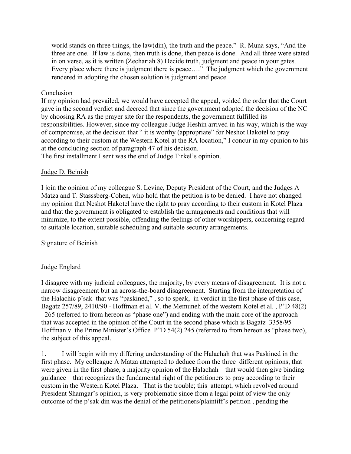world stands on three things, the law(din), the truth and the peace." R. Muna says, "And the three are one. If law is done, then truth is done, then peace is done. And all three were stated in on verse, as it is written (Zechariah 8) Decide truth, judgment and peace in your gates. Every place where there is judgment there is peace…." The judgment which the government rendered in adopting the chosen solution is judgment and peace.

### **Conclusion**

If my opinion had prevailed, we would have accepted the appeal, voided the order that the Court gave in the second verdict and decreed that since the government adopted the decision of the NC by choosing RA as the prayer site for the respondents, the government fulfilled its responsibilities. However, since my colleague Judge Heshin arrived in his way, which is the way of compromise, at the decision that " it is worthy (appropriate" for Neshot Hakotel to pray according to their custom at the Western Kotel at the RA location," I concur in my opinion to his at the concluding section of paragraph 47 of his decision.

The first installment I sent was the end of Judge Tirkel's opinion.

## Judge D. Beinish

I join the opinion of my colleague S. Levine, Deputy President of the Court, and the Judges A Matza and T. Stasssberg-Cohen, who hold that the petition is to be denied. I have not changed my opinion that Neshot Hakotel have the right to pray according to their custom in Kotel Plaza and that the government is obligated to establish the arrangements and conditions that will minimize, to the extent possible, offending the feelings of other worshippers, concerning regard to suitable location, suitable scheduling and suitable security arrangements.

## Signature of Beinish

## Judge Englard

I disagree with my judicial colleagues, the majority, by every means of disagreement. It is not a narrow disagreement but an across-the-board disagreement. Starting from the interpretation of the Halachic p'sak that was "paskined," , so to speak, in verdict in the first phase of this case, Bagatz 257/89, 2410/90 - Hoffman et al. V. the Memuneh of the western Kotel et al. , P'D 48(2) 265 (referred to from hereon as "phase one") and ending with the main core of the approach that was accepted in the opinion of the Court in the second phase which is Bagatz 3358/95 Hoffman v. the Prime Minister's Office P"D 54(2) 245 (referred to from hereon as "phase two), the subject of this appeal.

1. I will begin with my differing understanding of the Halachah that was Paskined in the first phase. My colleague A Matza attempted to deduce from the three different opinions, that were given in the first phase, a majority opinion of the Halachah – that would then give binding guidance – that recognizes the fundamental right of the petitioners to pray according to their custom in the Western Kotel Plaza. That is the trouble; this attempt, which revolved around President Shamgar's opinion, is very problematic since from a legal point of view the only outcome of the p'sak din was the denial of the petitioners/plaintiff's petition , pending the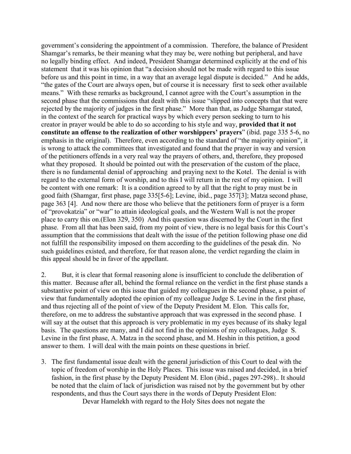government's considering the appointment of a commission. Therefore, the balance of President Shamgar's remarks, be their meaning what they may be, were nothing but peripheral, and have no legally binding effect. And indeed, President Shamgar determined explicitly at the end of his statement that it was his opinion that "a decision should not be made with regard to this issue before us and this point in time, in a way that an average legal dispute is decided." And he adds, "the gates of the Court are always open, but of course it is necessary first to seek other available means." With these remarks as background, I cannot agree with the Court's assumption in the second phase that the commissions that dealt with this issue "slipped into concepts that that were rejected by the majority of judges in the first phase." More than that, as Judge Shamgar stated, in the context of the search for practical ways by which every person seeking to turn to his creator in prayer would be able to do so according to his style and way, **provided that it not constitute an offense to the realization of other worshippers' prayers**" (ibid. page 335 5-6, no emphasis in the original). Therefore, even according to the standard of "the majority opinion", it is wrong to attack the committees that investigated and found that the prayer in way and version of the petitioners offends in a very real way the prayers of others, and, therefore, they proposed what they proposed. It should be pointed out with the preservation of the custom of the place, there is no fundamental denial of approaching and praying next to the Kotel. The denial is with regard to the external form of worship, and to this I will return in the rest of my opinion. I will be content with one remark: It is a condition agreed to by all that the right to pray must be in good faith (Shamgar, first phase, page 335[5-6]; Levine, ibid., page 357[3]; Matza second phase, page 363 [4]. And now there are those who believe that the petitioners form of prayer is a form of "provokatzia" or "war" to attain ideological goals, and the Western Wall is not the proper place to carry this on.(Elon 329, 350) And this question was discerned by the Court in the first phase. From all that has been said, from my point of view, there is no legal basis for this Court's assumption that the commissions that dealt with the issue of the petition following phase one did not fulfill the responsibility imposed on them according to the guidelines of the pesak din. No such guidelines existed, and therefore, for that reason alone, the verdict regarding the claim in this appeal should be in favor of the appellant.

2. But, it is clear that formal reasoning alone is insufficient to conclude the deliberation of this matter. Because after all, behind the formal reliance on the verdict in the first phase stands a substantive point of view on this issue that guided my colleagues in the second phase, a point of view that fundamentally adopted the opinion of my colleague Judge S. Levine in the first phase, and thus rejecting all of the point of view of the Deputy President M. Elon. This calls for, therefore, on me to address the substantive approach that was expressed in the second phase. I will say at the outset that this approach is very problematic in my eyes because of its shaky legal basis. The questions are many, and I did not find in the opinions of my colleagues, Judge S. Levine in the first phase, A. Matza in the second phase, and M. Heshin in this petition, a good answer to them. I will deal with the main points on these questions in brief.

3. The first fundamental issue dealt with the general jurisdiction of this Court to deal with the topic of freedom of worship in the Holy Places. This issue was raised and decided, in a brief fashion, in the first phase by the Deputy President M. Elon (ibid., pages 297-298).. It should be noted that the claim of lack of jurisdiction was raised not by the government but by other respondents, and thus the Court says there in the words of Deputy President Elon:

Devar Hamelekh with regard to the Holy Sites does not negate the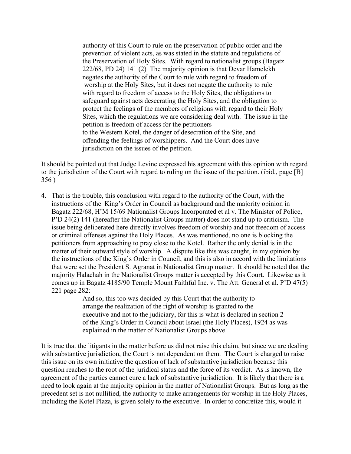authority of this Court to rule on the preservation of public order and the prevention of violent acts, as was stated in the statute and regulations of the Preservation of Holy Sites. With regard to nationalist groups (Bagatz 222/68, PD 24) 141 (2) The majority opinion is that Devar Hamelekh negates the authority of the Court to rule with regard to freedom of worship at the Holy Sites, but it does not negate the authority to rule with regard to freedom of access to the Holy Sites, the obligations to safeguard against acts desecrating the Holy Sites, and the obligation to protect the feelings of the members of religions with regard to their Holy Sites, which the regulations we are considering deal with. The issue in the petition is freedom of access for the petitioners to the Western Kotel, the danger of desecration of the Site, and offending the feelings of worshippers. And the Court does have jurisdiction on the issues of the petition.

It should be pointed out that Judge Levine expressed his agreement with this opinion with regard to the jurisdiction of the Court with regard to ruling on the issue of the petition. (ibid., page [B] 356 )

4. That is the trouble, this conclusion with regard to the authority of the Court, with the instructions of the King's Order in Council as background and the majority opinion in Bagatz 222/68, H'M 15/69 Nationalist Groups Incorporated et al v. The Minister of Police, P'D 24(2) 141 (hereafter the Nationalist Groups matter) does not stand up to criticism. The issue being deliberated here directly involves freedom of worship and not freedom of access or criminal offenses against the Holy Places. As was mentioned, no one is blocking the petitioners from approaching to pray close to the Kotel. Rather the only denial is in the matter of their outward style of worship. A dispute like this was caught, in my opinion by the instructions of the King's Order in Council, and this is also in accord with the limitations that were set the President S. Agranat in Nationalist Group matter. It should be noted that the majority Halachah in the Nationalist Groups matter is accepted by this Court. Likewise as it comes up in Bagatz 4185/90 Temple Mount Faithful Inc. v. The Att. General et al. P'D 47(5) 221 page 282:

> And so, this too was decided by this Court that the authority to arrange the realization of the right of worship is granted to the executive and not to the judiciary, for this is what is declared in section 2 of the King's Order in Council about Israel (the Holy Places), 1924 as was explained in the matter of Nationalist Groups above.

It is true that the litigants in the matter before us did not raise this claim, but since we are dealing with substantive jurisdiction, the Court is not dependent on them. The Court is charged to raise this issue on its own initiative the question of lack of substantive jurisdiction because this question reaches to the root of the juridical status and the force of its verdict. As is known, the agreement of the parties cannot cure a lack of substantive jurisdiction. It is likely that there is a need to look again at the majority opinion in the matter of Nationalist Groups. But as long as the precedent set is not nullified, the authority to make arrangements for worship in the Holy Places, including the Kotel Plaza, is given solely to the executive. In order to concretize this, would it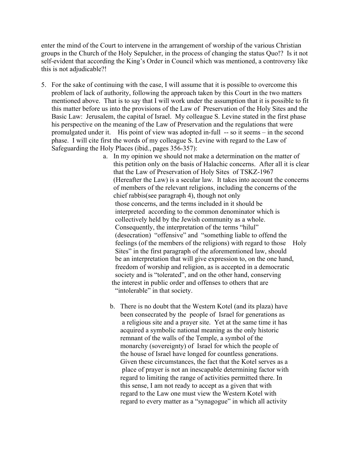enter the mind of the Court to intervene in the arrangement of worship of the various Christian groups in the Church of the Holy Sepulcher, in the process of changing the status Quo!? Is it not self-evident that according the King's Order in Council which was mentioned, a controversy like this is not adjudicable?!

- 5. For the sake of continuing with the case, I will assume that it is possible to overcome this problem of lack of authority, following the approach taken by this Court in the two matters mentioned above. That is to say that I will work under the assumption that it is possible to fit this matter before us into the provisions of the Law of Preservation of the Holy Sites and the Basic Law: Jerusalem, the capital of Israel. My colleague S. Levine stated in the first phase his perspective on the meaning of the Law of Preservation and the regulations that were promulgated under it. His point of view was adopted in-full -- so it seems – in the second phase. I will cite first the words of my colleague S. Levine with regard to the Law of Safeguarding the Holy Places (ibid., pages 356-357):
	- a. In my opinion we should not make a determination on the matter of this petition only on the basis of Halachic concerns. After all it is clear that the Law of Preservation of Holy Sites of TSKZ-1967 (Hereafter the Law) is a secular law. It takes into account the concerns of members of the relevant religions, including the concerns of the chief rabbis(see paragraph 4), though not only those concerns, and the terms included in it should be interpreted according to the common denominator which is collectively held by the Jewish community as a whole. Consequently, the interpretation of the terms "hilul" (desecration) "offensive" and "something liable to offend the feelings (of the members of the religions) with regard to those Holy Sites" in the first paragraph of the aforementioned law, should be an interpretation that will give expression to, on the one hand, freedom of worship and religion, as is accepted in a democratic society and is "tolerated", and on the other hand, conserving the interest in public order and offenses to others that are "intolerable" in that society.
		- b. There is no doubt that the Western Kotel (and its plaza) have been consecrated by the people of Israel for generations as a religious site and a prayer site. Yet at the same time it has acquired a symbolic national meaning as the only historic remnant of the walls of the Temple, a symbol of the monarchy (sovereignty) of Israel for which the people of the house of Israel have longed for countless generations. Given these circumstances, the fact that the Kotel serves as a place of prayer is not an inescapable determining factor with regard to limiting the range of activities permitted there. In this sense, I am not ready to accept as a given that with regard to the Law one must view the Western Kotel with regard to every matter as a "synagogue" in which all activity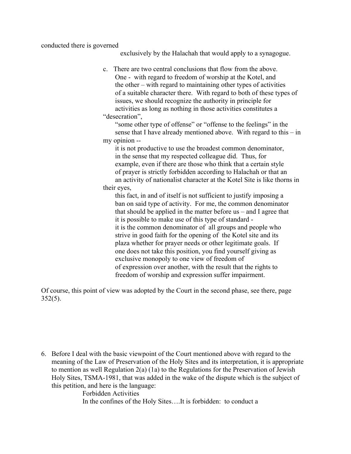conducted there is governed

exclusively by the Halachah that would apply to a synagogue.

c. There are two central conclusions that flow from the above. One - with regard to freedom of worship at the Kotel, and the other – with regard to maintaining other types of activities of a suitable character there. With regard to both of these types of issues, we should recognize the authority in principle for activities as long as nothing in those activities constitutes a "desecration",

 "some other type of offense" or "offense to the feelings" in the sense that I have already mentioned above. With regard to this – in my opinion --

 it is not productive to use the broadest common denominator, in the sense that my respected colleague did. Thus, for example, even if there are those who think that a certain style of prayer is strictly forbidden according to Halachah or that an an activity of nationalist character at the Kotel Site is like thorns in their eyes,

 this fact, in and of itself is not sufficient to justify imposing a ban on said type of activity. For me, the common denominator that should be applied in the matter before us – and I agree that it is possible to make use of this type of standard it is the common denominator of all groups and people who strive in good faith for the opening of the Kotel site and its plaza whether for prayer needs or other legitimate goals. If one does not take this position, you find yourself giving as exclusive monopoly to one view of freedom of of expression over another, with the result that the rights to freedom of worship and expression suffer impairment.

Of course, this point of view was adopted by the Court in the second phase, see there, page  $352(5)$ .

6. Before I deal with the basic viewpoint of the Court mentioned above with regard to the meaning of the Law of Preservation of the Holy Sites and its interpretation, it is appropriate to mention as well Regulation 2(a) (1a) to the Regulations for the Preservation of Jewish Holy Sites, TSMA-1981, that was added in the wake of the dispute which is the subject of this petition, and here is the language:

> Forbidden Activities In the confines of the Holy Sites….It is forbidden: to conduct a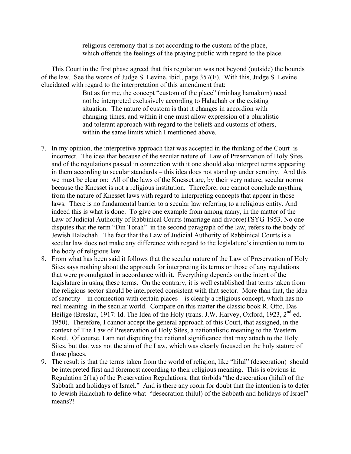religious ceremony that is not according to the custom of the place, which offends the feelings of the praying public with regard to the place.

 This Court in the first phase agreed that this regulation was not beyond (outside) the bounds of the law. See the words of Judge S. Levine, ibid., page 357(E). With this, Judge S. Levine elucidated with regard to the interpretation of this amendment that:

> But as for me, the concept "custom of the place" (minhag hamakom) need not be interpreted exclusively according to Halachah or the existing situation. The nature of custom is that it changes in accordion with changing times, and within it one must allow expression of a pluralistic and tolerant approach with regard to the beliefs and customs of others, within the same limits which I mentioned above.

- 7. In my opinion, the interpretive approach that was accepted in the thinking of the Court is incorrect. The idea that because of the secular nature of Law of Preservation of Holy Sites and of the regulations passed in connection with it one should also interpret terms appearing in them according to secular standards – this idea does not stand up under scrutiny. And this we must be clear on: All of the laws of the Knesset are, by their very nature, secular norms because the Knesset is not a religious institution. Therefore, one cannot conclude anything from the nature of Knesset laws with regard to interpreting concepts that appear in those laws. There is no fundamental barrier to a secular law referring to a religious entity. And indeed this is what is done. To give one example from among many, in the matter of the Law of Judicial Authority of Rabbinical Courts (marriage and divorce)TSYG-1953. No one disputes that the term "Din Torah" in the second paragraph of the law, refers to the body of Jewish Halachah. The fact that the Law of Judicial Authority of Rabbinical Courts is a secular law does not make any difference with regard to the legislature's intention to turn to the body of religious law.
- 8. From what has been said it follows that the secular nature of the Law of Preservation of Holy Sites says nothing about the approach for interpreting its terms or those of any regulations that were promulgated in accordance with it. Everything depends on the intent of the legislature in using these terms. On the contrary, it is well established that terms taken from the religious sector should be interpreted consistent with that sector. More than that, the idea of sanctity – in connection with certain places – is clearly a religious concept, which has no real meaning in the secular world. Compare on this matter the classic book R. Otto, Das Heilige (Breslau, 1917: Id. The Idea of the Holy (trans. J.W. Harvey, Oxford, 1923,  $2^{nd}$  ed. 1950). Therefore, I cannot accept the general approach of this Court, that assigned, in the context of The Law of Preservation of Holy Sites, a nationalistic meaning to the Western Kotel. Of course, I am not disputing the national significance that may attach to the Holy Sites, but that was not the aim of the Law, which was clearly focused on the holy stature of those places.
- 9. The result is that the terms taken from the world of religion, like "hilul" (desecration) should be interpreted first and foremost according to their religious meaning. This is obvious in Regulation 2(1a) of the Preservation Regulations, that forbids "the desecration (hilul) of the Sabbath and holidays of Israel." And is there any room for doubt that the intention is to defer to Jewish Halachah to define what "desecration (hilul) of the Sabbath and holidays of Israel" means?!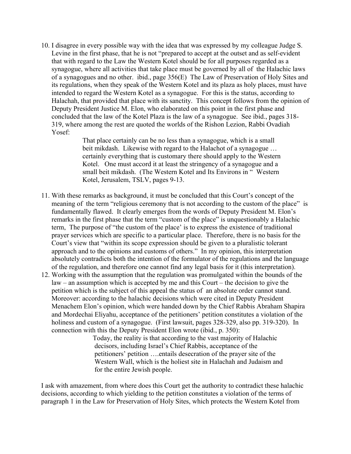10. I disagree in every possible way with the idea that was expressed by my colleague Judge S. Levine in the first phase, that he is not "prepared to accept at the outset and as self-evident that with regard to the Law the Western Kotel should be for all purposes regarded as a synagogue, where all activities that take place must be governed by all of the Halachic laws of a synagogues and no other. ibid., page 356(E) The Law of Preservation of Holy Sites and its regulations, when they speak of the Western Kotel and its plaza as holy places, must have intended to regard the Western Kotel as a synagogue. For this is the status, according to Halachah, that provided that place with its sanctity. This concept follows from the opinion of Deputy President Justice M. Elon, who elaborated on this point in the first phase and concluded that the law of the Kotel Plaza is the law of a synagogue. See ibid., pages 318- 319, where among the rest are quoted the worlds of the Rishon Lezion, Rabbi Ovadiah Yosef:

> That place certainly can be no less than a synagogue, which is a small beit mikdash. Likewise with regard to the Halachot of a synagogue ... certainly everything that is customary there should apply to the Western Kotel. One must accord it at least the stringency of a synagogue and a small beit mikdash. (The Western Kotel and Its Environs in " Western Kotel, Jerusalem, TSLV, pages 9-13.

- 11. With these remarks as background, it must be concluded that this Court's concept of the meaning of the term "religious ceremony that is not according to the custom of the place" is fundamentally flawed. It clearly emerges from the words of Deputy President M. Elon's remarks in the first phase that the term "custom of the place" is unquestionably a Halachic term, The purpose of "the custom of the place' is to express the existence of traditional prayer services which are specific to a particular place. Therefore, there is no basis for the Court's view that "within its scope expression should be given to a pluralistic tolerant approach and to the opinions and customs of others." In my opinion, this interpretation absolutely contradicts both the intention of the formulator of the regulations and the language of the regulation, and therefore one cannot find any legal basis for it (this interpretation).
- 12. Working with the assumption that the regulation was promulgated within the bounds of the law – an assumption which is accepted by me and this Court – the decision to give the petition which is the subject of this appeal the status of an absolute order cannot stand. Moreover: according to the halachic decisions which were cited in Deputy President Menachem Elon's opinion, which were handed down by the Chief Rabbis Abraham Shapira and Mordechai Eliyahu, acceptance of the petitioners' petition constitutes a violation of the holiness and custom of a synagogue. (First lawsuit, pages 328-329, also pp. 319-320). In connection with this the Deputy President Elon wrote (ibid., p. 350):

 Today, the reality is that according to the vast majority of Halachic decisors, including Israel's Chief Rabbis, acceptance of the petitioners' petition ….entails desecration of the prayer site of the Western Wall, which is the holiest site in Halachah and Judaism and for the entire Jewish people.

I ask with amazement, from where does this Court get the authority to contradict these halachic decisions, according to which yielding to the petition constitutes a violation of the terms of paragraph 1 in the Law for Preservation of Holy Sites, which protects the Western Kotel from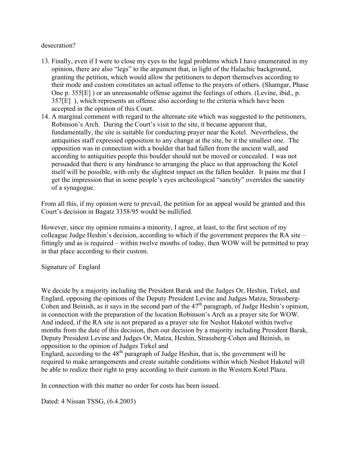## desecration?

- 13. Finally, even if I were to close my eyes to the legal problems which I have enumerated in my opinion, there are also "legs" to the argument that, in light of the Halachic background, granting the petition, which would allow the petitioners to deport themselves according to their mode and custom constitutes an actual offense to the prayers of others. (Shamgar, Phase One p. 355[E] ) or an unreasonable offense against the feelings of others. (Levine, ibid., p. 357[E] ), which represents an offense also according to the criteria which have been accepted in the opinion of this Court.
- 14. A marginal comment with regard to the alternate site which was suggested to the petitioners, Robinson's Arch. During the Court's visit to the site, it became apparent that, fundamentally, the site is suitable for conducting prayer near the Kotel. Nevertheless, the antiquities staff expressed opposition to any change at the site, be it the smallest one. The opposition was in connection with a boulder that had fallen from the ancient wall, and according to antiquities people this boulder should not be moved or concealed. I was not persuaded that there is any hindrance to arranging the place so that approaching the Kotel itself will be possible, with only the slightest impact on the fallen boulder. It pains me that I get the impression that in some people's eyes archeological "sanctity" overrides the sanctity of a synagogue.

From all this, if my opinion were to prevail, the petition for an appeal would be granted and this Court's decision in Bagatz 3358/95 would be nullified.

However, since my opinion remains a minority, I agree, at least, to the first section of my colleague Judge Heshin's decision, according to which if the government prepares the RA site – fittingly and as is required – within twelve months of today, then WOW will be permitted to pray in that place according to their custom.

Signature of Englard

We decide by a majority including the President Barak and the Judges Or, Heshin, Tirkel, and Englard, opposing the opinions of the Deputy President Levine and Judges Matza, Strassberg-Cohen and Beinish, as it says in the second part of the  $47<sup>th</sup>$  paragraph, of Judge Heshin's opinion, in connection with the preparation of the location Robinson's Arch as a prayer site for WOW. And indeed, if the RA site is not prepared as a prayer site for Neshot Hakotel within twelve months from the date of this decision, then our decision by a majority including President Barak, Deputy President Levine and Judges Or, Matza, Heshin, Strassberg-Cohen and Beinish, in opposition to the opinion of Judges Tirkel and

Englard, according to the  $48<sup>th</sup>$  paragraph of Judge Heshin, that is, the government will be required to make arrangements and create suitable conditions within which Neshot Hakotel will be able to realize their right to pray according to their custom in the Western Kotel Plaza.

In connection with this matter no order for costs has been issued.

Dated: 4 Nissan TSSG, (6.4.2003)